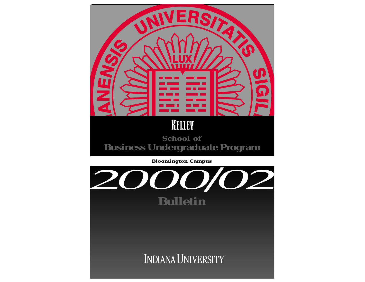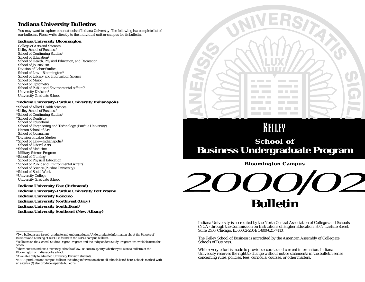### **Indiana University Bulletins**

You may want to explore other schools of Indiana University. The following is a complete list of our bulletins. Please write directly to the individual unit or campus for its bulletin.

### **Indiana University Bloomington**

College of Arts and Sciences Kelley School of Business1 School of Continuing Studies<sup>2</sup> School of Education<sup>1</sup> School of Health, Physical Education, and Recreation School of Journalism Division of Labor Studies School of Law—Bloomington3 School of Library and Information Science School of Music School of Optometry School of Public and Environmental Affairs<sup>3</sup> University Division4 University Graduate School

### **\*Indiana University–Purdue University Indianapolis**

\* School of Allied Health Sciences \* Kelley School of Business1 \* School of Continuing Studies2 \* School of Dentistry School of Education<sup>1</sup> School of Engineering and Technology (Purdue University) Herron School of Art School of Journalism \* Division of Labor Studies \* School of Law—Indianapolis3 School of Liberal Arts \* School of Medicine Military Science Program \* School of Nursing1 School of Physical Education \* School of Public and Environmental Affairs1 School of Science (Purdue University) \* School of Social Work

- \* University College
- University Graduate School

**Indiana University East (Richmond) Indiana University–Purdue University Fort Wayne Indiana University Kokomo Indiana University Northwest (Gary) Indiana University South Bend1 Indiana University Southeast (New Albany)** 



# KELLEY **School of Business Undergraduate Program**

**Bloomington Campus**

# 00/02 **Bulletin**

Indiana University is accredited by the North Central Association of Colleges and Schools (NCA) through the Commission on Institutions of Higher Education, 30 N. LaSalle Street, Suite 2400, Chicago, IL 60602-2504; 1-800-621-7440.

The Kelley School of Business is accredited by the American Assembly of Collegiate Schools of Business.

While every effort is made to provide accurate and current information, Indiana University reserves the right to change without notice statements in the bulletin series concerning rules, policies, fees, curricula, courses, or other matters.

<sup>&</sup>lt;sup>1</sup>Two bulletins are issued: graduate and undergraduate. Undergraduate information about the Schools of Business and Nursing at IUPUI is found in the IUPUI campus bulletin.

<sup>&</sup>lt;sup>2</sup> Bulletins on the General Studies Degree Program and the Independent Study Program are available from this school.

<sup>3</sup>There are two Indiana University schools of law. Be sure to specify whether you want a bulletin of the Bloomington or Indianapolis school.

<sup>4</sup>Available only to admitted University Division students.

<sup>\*</sup>IUPUI produces one campus bulletin including information about all schools listed here. Schools marked with an asterisk (\*) also produce separate bulletins.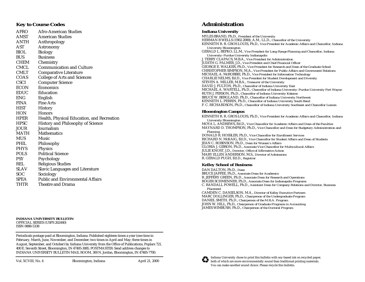### **Key to Course Codes**

| AFRO        | <b>Afro-American Studies</b>               |
|-------------|--------------------------------------------|
| AMST        | <b>American Studies</b>                    |
| ANTH        | Anthropology                               |
| AST         | Astronomy                                  |
| BIOL        | <b>Biology</b>                             |
| BUS         | <b>Business</b>                            |
| CHEM        | Chemistry                                  |
| <b>CMCL</b> | <b>Communication and Culture</b>           |
| CMLT        | <b>Comparative Literature</b>              |
| COAS        | <b>College of Arts and Sciences</b>        |
| <b>CSCI</b> | <b>Computer Science</b>                    |
| <b>ECON</b> | <b>Economics</b>                           |
| EDUC        | Education                                  |
| ENG         | English                                    |
| FINA        | <b>Fine Arts</b>                           |
| HIST        | History                                    |
| HON         | <b>Honors</b>                              |
| HPER        | Health, Physical Education, and Recreation |
| HPSC        | <b>History and Philosophy of Science</b>   |
| JOUR        | Journalism                                 |
| MATH        | Mathematics                                |
| MUS         | Music                                      |
| PHIL        | Philosophy                                 |
| PHYS        | <b>Physics</b>                             |
| POLS        | <b>Political Science</b>                   |
| PSY         | Psychology                                 |
| REL         | <b>Religious Studies</b>                   |
| SLAV        | <b>Slavic Languages and Literature</b>     |
| SOC         | Sociology                                  |
| SPEA        | <b>Public and Environmental Affairs</b>    |
| THTR        | Theatre and Drama                          |

#### **INDIANA UNIVERSITY BULLETIN**  OFFICIAL SERIES (USPS 262440) ISSN 0888-5338

Periodicals postage paid at Bloomington, Indiana. Published eighteen times a year (one time in February, March, June, November, and December; two times in April and May; three times in August, September, and October) by Indiana University from the Office of Publications, Poplars 721, 400 E. Seventh Street, Bloomington, IN 47405-3085. POSTMASTER: Send address changes to INDIANA UNIVERSITY BULLETIN MAIL ROOM, 300 N. Jordan, Bloomington, IN 47405-7700.

Vol. XCVIII, No. 4 Bloomington, Indiana April 21, 2000

### **Administration**

### **Indiana University**

MYLES BRAND, Ph.D., *President of the University* HERMAN B WELLS (1902-2000), A.M., LL.D., *Chancellor of the University*  KENNETH R. R. GROS LOUIS, Ph.D., *Vice President for Academic Affairs and Chancellor, Indiana University Bloomington* GERALD L. BEPKO, LL.M., *Vice President for Long-Range Planning and Chancellor, Indiana University–Purdue University Indianapolis* J. TERRY CLAPACS, M.B.A., *Vice President for Administration*  JUDITH G. PALMER, J.D., *Vice President and Chief Financial Officer* GEORGE E. WALKER, Ph.D., *Vice President for Research and Dean of the Graduate School*  CHRISTOPHER SIMPSON, M.A., *Vice President for Public Affairs and Government Relations* MICHAEL A. McROBBIE, Ph.D., *Vice President for Information Technology* CHARLIE NELMS, Ed.D., *Vice President for Student Development and Diversity* STEVEN A. MILLER, M.B.A., *Treasurer of the University*  DAVID J. FULTON, Ph.D., *Chancellor of Indiana University East* MICHAEL A. WARTELL, Ph.D., *Chancellor of Indiana University–Purdue University Fort Wayne*  RUTH J. PERSON, Ph.D., *Chancellor of Indiana University Kokomo* BRUCE W. BERGLAND, Ph.D., *Chancellor of Indiana University Northwest*  KENNETH L. PERRIN, Ph.D., *Chancellor of Indiana University South Bend*  F. C. RICHARDSON, Ph.D., *Chancellor of Indiana University Southeast and Chancellor Liaison*

### **Bloomington Campus**

KENNETH R. R. GROS LOUIS, Ph.D., *Vice President for Academic Affairs and Chancellor, Indiana University Bloomington* MOYA L. ANDREWS, Ed.D., *Vice Chancellor for Academic Affairs and Dean of the Faculties* MAYNARD D. THOMPSON, Ph.D., *Vice Chancellor and Dean for Budgetary Administration and Planning*  DONALD R. HOSSLER, Ph.D., *Vice Chancellor for Enrollment Services* RICHARD N. McKAIG, Ed.D., *Vice Chancellor for Student Affairs and Dean of Students*  JEAN C. ROBINSON, Ph.D., *Dean for Women's Affairs* GLORIA J. GIBSON, Ph.D., *Associate Vice Chancellor for Multicultural Affairs*  JULIE KNOST, J.D., *Director, Office of Affirmative Action* MARY ELLEN ANDERSON, M.S., *Director of Admissions*  R. GERALD PUGH, Ed.D., *Registrar* 

### **Kelley School of Business**

DAN DALTON, Ph.D., *Dean* BRUCE JAFFEE, Ph.D., *Associate Dean for Academics* R. JEFFERY GREEN, Ph.D., *Associate Dean for Research and Operations* ROGER SCHMENNER, Ph.D., *Associate Dean for Indianapolis Programs* C. RANDALL POWELL, Ph.D., *Assistant Dean for Company Relations and Director, Business Placement* CAMDEN C. DANIELSON, M.A., *Director of Kelley Executive Partners* MARC DOLLINGER, Ph.D., *Chairperson of the Undergraduate Program* DANIEL SMITH, Ph.D., *Chairperson of the M.B.A. Program* JOHN W. HILL, Ph.D., *Chairperson of Graduate Programs in Accounting* JAMES WIMBUSH, Ph.D., *Chairperson of the Doctoral Program*

Indiana University chose to print this bulletin with soy-based ink on recycled paper, both of which are more environmentally sound than traditional printing materials. You can make another sound choice. Please recycle this bulletin.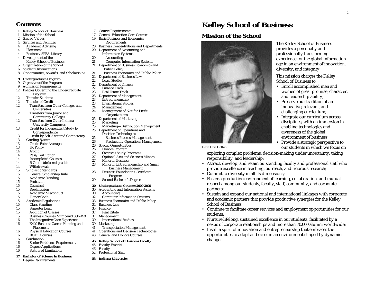### **Contents**

### **1 Kelley School of Business**

- 1 Mission of the School
- 2 Shared Values
- 4 Services and Facilities 4 Academic Advising
- 4 Placement
- 
- 4 Business/SPEA Library Development of the
- Kelley School of Business
- 5 Organization of the School
- 6 Student Organizations
- 8 Opportunities, Awards, and Scholarships

## **9 Undergraduate Program**

- 9 Objectives of the Program<br>9 Admission Requirements
- 9 Admission Requirements<br>12 Policies Governing the Ur
- 12 Policies Governing the Undergraduate Program
- 12 Transfer Students
- 12 Transfer of Credit
- 12 Transfers from Other Colleges and Universities
- 12 Transfers from Junior and Community Colleges
- 12 Transfers from Other Indiana
	- University Campuses
- 13 Credit for Independent Study by
- Correspondence
- 13 Credit by Self-Acquired Competency<br>13 Grading System
- 13 Grading System<br>13 Grade Point A
- 13 Grade Point Average<br>13 FX Policy
- 13 FX Policy **Audit**
- 
- 14 Pass/Fail Option
- 14 Incompleted Courses<br>14 R Grade (deferred gra 14 R Grade (deferred grade)<br>14 Withdrawals
- Withdrawals
- 15 Scholastic Standards
- 15 General Scholarship Rule
- 15 Academic Standing
- Probation
- 15 Dismissal
- 15 Readmission
- 15 Academic Misconduct
- 15 Honor Code
- 15 Academic Regulations<br>15 Class Standing
- 15 Class Standing<br>15 Semester Load
- Semester Load
- 15 Addition of Classes
- 15 Business Courses Numbered 300–499
- 16 The Integrative Core Experience<br>16 X420 Business Career Planning a X420 Business Career Planning and
- Placement
- 
- 16 Physical Education Courses<br>16 ROTC Courses ROTC Courses
- 16 Graduation
- 16 Senior Residence Requirement<br>16 Degree Applications
- 16 Degree Applications<br>16 Statute of Limitations
- **Statute of Limitations**

### **17 Bachelor of Science in Business**

17 Degree Requirements

- 17 Course Requirements<br>17 General-Education Co
- 17 General-Education Core Courses
- 19 Basic Business and Economics **Requirements**
- 20 Business Concentrations and Departments

1

The Kelley School of Business provides a personally and professionally transforming

This mission charges the Kelley

• Enroll accomplished men and women of great promise, character,

 Preserve our tradition of an innovative, relevant, and challenging curriculum;

 Integrate our curriculum across disciplines, with an immersion in enabling technologies and awareness of the global environment of business;

 Provide a strategic perspective to our students in which we focus on

and leadership ability;

diversity, and integrity.

School of Business to

•

•

•

exploring complex problems, decision-making under uncertainty, taking

• Attract, develop, and retain outstanding faculty and professional staff who provide excellence in teaching, outreach, and rigorous research;

• Foster a productive environment of learning, collaboration, and mutual respect among our students, faculty, staff, community, and corporate

• Sustain and expand our national and international linkages with corporate and academic partners that provide productive synergies for the Kelley

• Continue to facilitate career services and employment opportunities for our

• Nurture lifelong, sustained excellence in our students, facilitated by a nexus of corporate relationships and more than 70,000 alumni worldwide;

• Instill a spirit of innovation and entrepreneurship that embraces the opportunities to adapt and excel in an environment shaped by dynamic

experience for the global information age in an environment of innovation,

**Kelley School of Business**

**Mission of the School**

*Dean Dan Dalton*

partners;

students;

change.

School of Business;

responsibility, and leadership;

• Commit to diversity in all its dimensions;

- 20 Department of Accounting and
	- Information Systems
	-
- 20 Accounting<br>21 Computer In **Computer Information Systems**
- 21 Department of Business Economics and Public Policy
- 21 Business Economics and Public Policy<br>22 Department of Business Law
- 22 Department of Business Law<br>22 Legal Studies
- 22 Legal Studies<br>22 Department of F
- 22 Department of Finance<br>22 Finance Track
- Finance Track
- 23 Real Estate Track
- 23 Department of Management<br>23 Entrepreneurship
- 23 Entrepreneurship<br>23 International Stud
- **International Studies**
- 24 Management
	- Management of Not-for-Profit **Organizations**
- 25 Department of Marketing<br>25 Marketing
- 25 Marketing<br>25 Marketing-
- 25 Marketing—Distribution Management<br>25 Department of Operations and
	- Department of Operations and Decision Technologies
	-
- 25 Business Process Management<br>26 Production/Operations Management 26 Production/Operations Management<br>26 Special Opportunities
- Special Opportunities
- 
- 26 Honors Program<br>26 Overseas Study P
- 26 Overseas Study Programs<br>27 Optional Arts and Sciences 27 Optional Arts and Sciences Minors<br>27 Minor in Business
	- **Minor in Business**
- 28 Minor in Entrepreneurship and Small Business Management
- 28 Business Foundations Certificate Program
- 29 Second Bachelor's Degree

- **30 Undergraduate Courses 2000-2002** 30 Accounting and Information Systems
- - 30 Accounting<br>32 Computer In
	- 32 Computer Information Systems<br>33 Business Economics and Public Po 33 Business Economics and Public Policy<br>34 Business Law

41 Operations and Decision Technologies<br>43 General and Honors Courses General and Honors Courses **45 Kelley School of Business Faculty**

- **Business Law**
- 35 Finance
- 37 Real Estate
- 37 Management<br>39 Internations

45 Faculty Emeriti 46 Faculty<br>52 Professi

Professional Staff **53 Indiana University**

- International Studies
- 39 Marketing 41 Transportation Management<br>41 Operations and Decision Techn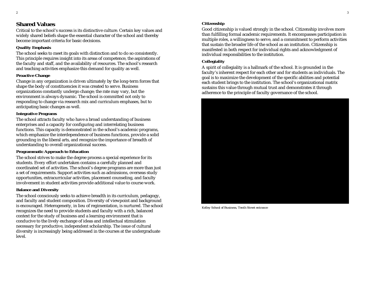### **Shared Values**

Critical to the school's success is its distinctive culture. Certain key values and widely shared beliefs shape the essential character of the school and thereby become important criteria for basic decisions.

### **Quality Emphasis**

The school seeks to meet its goals with distinction and to do so consistently. This principle requires insight into its areas of competence, the aspirations of the faculty and staff, and the availability of resources. The school's research and teaching activities emphasize this demand for quality as well.

### **Proactive Change**

Change in any organization is driven ultimately by the long-term forces that shape the body of constituencies it was created to serve. Business organizations constantly undergo change; the rate may vary, but the environment is always dynamic. The school is committed not only to responding to change via research mix and curriculum emphases, but to anticipating basic changes as well.

### **Integrative Programs**

The school attracts faculty who have a broad understanding of business enterprises and a capacity for configuring and interrelating business functions. This capacity is demonstrated in the school's academic programs, which emphasize the interdependence of business functions, provide a solid grounding in the liberal arts, and recognize the importance of breadth of understanding to overall organizational success.

### **Programmatic Approach to Education**

The school strives to make the degree process a special experience for its students. Every effort undertaken contains a carefully planned and coordinated set of activities. The school's degree programs are more than just a set of requirements. Support activities such as admissions, overseas study opportunities, extracurricular activities, placement counseling, and faculty involvement in student activities provide additional value to course work.

### **Balance and Diversity**

The school consciously seeks to achieve breadth in its curriculum, pedagogy, and faculty and student composition. Diversity of viewpoint and background is encouraged. Heterogeneity, in lieu of regimentation, is nurtured. The school recognizes the need to provide students and faculty with a rich, balanced context for the study of business and a learning environment that is conducive to the lively exchange of ideas and intellectual stimulation necessary for productive, independent scholarship. The issue of cultural diversity is increasingly being addressed in the courses at the undergraduate level.

### **Citizenship**

Good citizenship is valued strongly in the school. Citizenship involves more than fulfilling formal academic requirements. It encompasses participation in multiple roles, a willingness to serve, and a commitment to perform activities that sustain the broader life of the school as an institution. Citizenship is manifested in both respect for individual rights and acknowledgment of individual responsibilities to the institution.

### **Collegiality**

A spirit of collegiality is a hallmark of the school. It is grounded in the faculty's inherent respect for each other and for students as individuals. The goal is to maximize the development of the specific abilities and potential each student brings to the institution. The school's organizational matrix sustains this value through mutual trust and demonstrates it through adherence to the principle of faculty governance of the school.



*Kelley School of Business, Tenth Street entrance*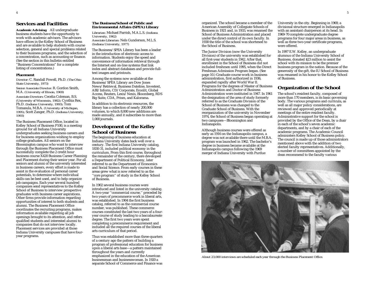### **Services and Facilities**

**Academic Advising** All undergraduate business students have the opportunity to work with academic advisors. The advisors have offices in the Kelley School of Business and are available to help students with course selection, general and special problems related to their business programs, and the selection of a concentration, such as accounting or finance. (See the section in this bulletin entitled "Business Concentrations" for a complete listing of concentrations.)

### **Placement**

*Director:* C. Randall Powell, Ph.D. *(The Ohio State University, 1973)*

*Senior Associate Director:* R. Gordon Smith, M.A. *(University of Illinois, 1969)*

*Associate Directors:* Cecelia Coleman, B.S. *(University of Wisconsin, 1982);* Cynthia Rex, Ph.D. *(Indiana University, 1993);* Tom Tomasula, M.B.A. *(University of Michigan, 1995);* Scott Zanger, Ph.D. *(Indiana University, 1993)*

The Business Placement Office, located in Kelley School of Business P100, is a meeting ground for all Indiana University undergraduates seeking business careers and for business organizations wishing to employ college graduates. All seniors on the Bloomington campus who want to interview through the Business Placement Office must successfully complete the 2 credit hour business course X420 Business Career Planning and Placement during their senior year. For all seniors and alumni of the university interested in business careers, every effort is made to assist in the evaluation of personal career potentials, to determine where individual skills can be best used, and to help organize job campaigns. Each year several hundred companies send representatives to the Kelley School of Business to interview prospective graduates with business career aspirations. Other firms provide information regarding opportunities of interest to both students and alumni. The Business Placement Office coordinates the recruiting programs, makes information available regarding all job openings brought to its attention, and refers qualified students and interested alumni to companies that do not interview locally. Placement services are provided at those Indiana University campuses that have fouryear programs.

### **The Business/School of Public and Environmental Affairs (SPEA) Library**

*Librarian:* Michael Parrish, M.A.L.S. *(Indiana University, 1962) Associate Librarian:* Nels Gunderson, M.L.S. *(Indiana University, 1977)*

The Business/SPEA Library has been a leader in the introduction of electronic access to information. Students enjoy the speed and convenience of information retrieval through the Internet and on-line systems that link index and abstract databases and provide fulltext images and printouts.

Among the systems now available at the Business/SPEA Library are Dow Jones News/Retrieval, Business Dateline, Investext, ABI/Inform, CD/Corporate, Econlit, Global Access, Reuters, Lexis/Nexis, Bloomberg, RDS Big Suite, CDA, Prism, and Kalorama.

In addition to its electronic resources, the library has a collection of nearly 200,000 volumes, to which 8,000 new additions are made annually, and it subscribes to more than 1,000 journals.

### **Development of the Kelley School of Business**

The beginning of business education at Indiana University dates back well over a century. The first Indiana University catalog, 1830-31, included political economy in the curriculum. From this first course, throughout the remainder of the century, there developed a Department of Political Economy, later referred to as the Department of Economics and Social Science. From early courses in these areas grew what is now referred to as the ''core program'' of study in the Kelley School of Business.

In 1902 several business courses were introduced and listed in the university catalog. A two-year ''commercial course,'' preceded by two years of precommerce work in liberal arts, was established. In 1904 the first business catalog, referred to as the commercial course number, was published. These commerce courses constituted the last two years of a fouryear course of study leading to a baccalaureate degree. The first two years were spent completing a precommerce requirement and included all the required courses of the liberal arts curriculum of that period.

Thus was established more than three-quarters of a century ago the pattern of building a program of professional education for business upon a liberal arts base—a pattern maintained throughout the years and currently emphasized in the education of the American businessman and businesswoman. In 1920 a separate School of Commerce and Finance was

organized. The school became a member of the American Assembly of Collegiate Schools of Business in 1921 and, in 1933, was renamed the School of Business Administration and placed under the direct control of its own faculty. In 1938 the title of the school was shortened to the School of Business.

The Junior Division (now the University Division) of the university was established for all first-year students in 1942. After that, enrollment in the School of Business did not included freshmen until 1995, when the Direct Freshman Admission Program began. (See page 10.) Graduate course work in business administration, first authorized in 1936, expanded rapidly after World War II. Programs for the degrees of Master of Business Administration and Doctor of Business Administration were instituted in 1947. In 1961 the designation of the area of study formerly referred to as the Graduate Division of the School of Business was changed to the Graduate School of Business. With the reorganization of the university in November 1974, the School of Business began operating at two campuses—Bloomington and Indianapolis.

Although business courses were offered as early as 1916 on the Indianapolis campus, a degree was not available there until the M.B.A. program was launched in 1962. The bachelor's degree in business became available at the Indianapolis campus following the 1969 merger of Indiana University with Purdue

University in the city. Beginning in 1969, a divisional structure emerged in Indianapolis with an assistant chairperson at its head. In 1969-70 complete undergraduate degree programs for four major areas in business, as well as three two-year certificate programs, were offered.

In 1997 E.W. Kelley, an undergraduate alumnus of the Indiana University School of Business, donated \$23 million to assist the school with its mission to be the premier business program in the nation. Because of the generosity of the gift, the IU School of Business was renamed in his honor to the Kelley School of Business.

### **Organization of the School**

The school's resident faculty, composed of more than 170 members, is its basic governing body. The various programs and curricula, as well as all major policy considerations, are reviewed and approved periodically at meetings of the entire resident faculty. Administrative support for the school is provided by the Office of the Dean, by a chair in each of the school's seven academic departments, and by a chair of each of the academic programs. The Academic Council administers Kelley School of Business policy. The council is made up of those administrators mentioned above with the addition of two elected faculty representatives. Additionally, <sup>a</sup> number of committees appointed by the dean recommend to the faculty various



*About 23,000 interviews are scheduled each year through the Business Placement Office.*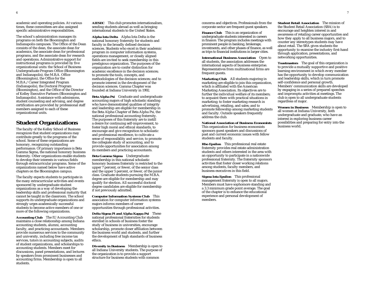academic and operating policies. At various times, these committees are also assigned specific administrative responsibilities.

The school's administration manages its programs on both the Bloomington and Indianapolis campuses. The Office of the Dean consists of the dean, the associate dean for academics, the associate dean for professional programs, and the associate dean for research and operations. Administrative support for instructional programs is provided by five organizational units: the School of Business Undergraduate Program Office (Bloomington and Indianapolis), the M.B.A. Office (Bloomington), the Office for the M.B.A./Career Integrated Program (Indianapolis), the Doctoral Program (Bloomington), and the Office of the Director of Kelley Executive Partners (Bloomington and Indianapolis). Assistance with admissions, student counseling and advising, and degree certification are provided by professional staff members assigned to each of these organizational units.

### **Student Organizations**

The faculty of the Kelley School of Business recognizes that student organizations may contribute greatly to the programs of the school. Some of these organizations are honorary, recognizing outstanding performance. Of primary importance is Beta Gamma Sigma, the national honorary business fraternity. Other organizations enable students to develop their interests in various fields through extracurricular programs. Some of the organizations named below have active chapters on the Bloomington campus.

The faculty expects students to participate in the many extracurricular activities and events sponsored by undergraduate student organizations as a way of developing the leadership skills and professional maturity that cannot be taught in the classroom. The school supports its undergraduate organizations and strongly urges academically successful students to become active members of one or more of the following organizations.

**Accounting Club** The IU Accounting Club maintains a close relationship among Indiana accounting students, alumni, accounting faculty, and practicing accountants. Members provide numerous services to the community and university, including free income tax services, tutors in accounting subjects, audits of student organizations, and scholarships to accounting students. Members meet for discussions, panel presentations, and lectures by speakers from prominent businesses and accounting firms. Membership is open to all students.

**AIESEC** This club promotes internationalism, sending students abroad as well as bringing international students to the United States.

**Alpha Iota Delta** Alpha Iota Delta is the national honorary fraternity for students and faculty in the broadly defined decision sciences. Students who excel in their academic program in computer information systems, operations management, or closely aligned fields are invited to seek membership in this prestigious organization. The purposes of the organization are to confer distinction for academic excellence in the decision sciences; to promote the tools, concepts, and methodologies of the decision sciences; and to promote interest in the development of the decision sciences. Gamma Chapter was founded at Indiana University in 1992.

**Beta Alpha Psi** Graduate and undergraduate accounting majors of high scholastic standing who have demonstrated qualities of integrity and leadership are eligible for membership in the Beta Alpha Chapter of Beta Alpha Psi, the national professional accounting fraternity. The purposes of this fraternity are to instill a desire for continuing self-improvement, to foster high moral and ethical standards, to encourage and give recognition to scholastic and professional excellence, to cultivate a sense of responsibility and service, to promote the collegiate study of accounting, and to provide opportunities for association among its members and practicing accountants.

**Beta Gamma Sigma** Undergraduate membership in this national scholastic honorary business fraternity is restricted to the upper 7 percent, or fewer, of the senior class and the upper 5 percent, or fewer, of the junior class. Graduate students pursuing the M.B.A. degree are eligible for membership and may qualify for election. All successful doctoral degree candidates are eligible for membership if not previously admitted.

**Computer Information Systems Club** This association for computer information systems majors informs members of career opportunities through professional activities.

**Delta Sigma Pi and Alpha Kappa Psi** These national professional fraternities for students enrolled in schools of business foster the study of business in universities, encourage scholarship, promote closer affiliation between the business world and students, and further the development of high standards of business ethics.

**Diversity in Business** Membership is open to all Indiana University students. The purpose of the organization is to provide a support structure for business students with common

concerns and objectives. Professionals from the corporate sector are frequent guest speakers.

**Finance Club** This is an organization of undergraduate students interested in careers in finance. The program includes meetings with prominent people in banking, brokerage, investments, and other phases of finance, as well as trips to financial institutions in larger cities.

**International Business Association** Open to all students, the association addresses the international aspects of business enterprise. Representatives from multinational firms are frequent guests.

**Marketing Club** All students majoring in marketing are eligible to join this organization, which is affiliated with the American Marketing Association. Its objectives are to further the individual welfare of its members; to acquaint them with practical situations in marketing; to foster marketing research in advertising, retailing, and sales; and to promote fellowship among marketing students and faculty. Outside speakers frequently address the club.

**National Association of Business Economists** This organization for business economists sponsors guest speakers and discussions of past and current economic issues with fellow students and faculty.

**Rho Epsilon** This professional real estate fraternity provides real estate administration students and others interested in the area with an opportunity to participate in a nationwide professional fraternity. The fraternity sponsors activities that foster closer working relations among students, faculty members, and business executives in this field.

**Sigma Iota Epsilon** This professional management fraternity is open to all majors. Members must have sophomore standing and a 3.3 minimum grade point average. The goal of the chapter is to enhance the educational experience and personal development of members.

**Student Retail Association** The mission of the Student Retail Association (SRA) is to encourage and heighten interest in and awareness of retailing career opportunities and how they apply to all business majors, and to counter any stereotypes students may have about retail. The SRA gives students the opportunity to examine the industry first-hand through application, presentations, and networking opportunities.

**Toastmasters** The goal of this organization is to provide a mutually supportive and positive learning environment in which every member has the opportunity to develop communication and leadership skills, which in turn promote self-confidence and personal growth. Members' communication skills are developed by engaging in a series of prepared speeches and impromptu activities at meetings. The club is open to all undergraduate students regardless of major.

**Women in Business** Membership is open to all women at Indiana University, both undergraduate and graduate, who have an interest in exploring business career possibilities and preparing for entry into the business world.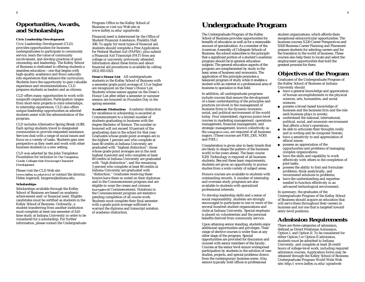### **Opportunities, Awards, and Scholarships**

#### **Civic Leadership Development**

Civic Leadership Development (CLD) provides opportunities for business undergraduates to participate in community service, learn the value of community involvement, and develop practices of good citizenship and leadership. The Kelley School of Business is dedicated to offering students a seamless education—one that begins with high-quality academics and flows naturally into experiences that enhance the curriculum. Students have the opportunity to gain valuable experience and recommendations. CLD prepares students as leaders and as citizens.

CLD offers many opportunities to work with nonprofit organizations. Participation ranges from short-term projects to mini-internships, to internship experiences. CLD also offers unique leadership opportunities as selected students assist with the administration of the program.

CLD includes Alternative Spring Break (ASB). Each spring students travel to designated communities to provide requested assistance. Services deal with a range of social issues and focus on a variety of tasks. Students gain new perspective as they meet and work with other business students in a new setting.

CLD was selected by the John Templeton Foundation for inclusion in *The Templeton Guide: Colleges that Encourage Character Development.*

Please visit the CLD Web site (*www.kelley.iu.edu/civic*) or contact the director, Helen Ingersoll, hingerso@indiana.edu.

### **Scholarships**

Scholarships available through the Kelley School of Business are based on academic achievement and/or financial need. Eligible candidates must be certified as students in the Kelley School of Business. Ordinarily, a student transferring from another institution must complete at least one semester of fulltime study at Indiana University in order to be considered for a scholarship. For further information, please contact the Undergraduate Program Office in the Kelley School of Business or visit our Web site at www.kelley.iu.edu/ugradweb/.

Financial need is determined by the Office of Student Financial Assistance, Franklin Hall 208. To apply for most types of financial aid, students should complete a Free Application for Federal Student Aid (FAFSA), plus submit a Financial Aid Transcript (FAT) from any college or university previously attended. Information about these forms and about financial aid procedures is available by calling (812) 855-0321.

**Dean's Honor List** All undergraduate students in the Kelley School of Business with a semester grade point average of 3.5 or higher are recognized on the Dean's Honor List. Students whose names appear on the Dean's Honor List after either a semester or summer session are honored on Founders Day in the spring semester.

**Academic Distinction** Academic distinction for excellence in scholarship is awarded at Commencement to a limited number of students graduating in business with the degree Bachelor of Science. The number so honored will not exceed 10 percent of the graduating class in the school for that year. Graduates whose grade point averages are in the highest 1 percent and who complete at least 60 credits at Indiana University are graduated with ''highest distinction"; those whose grade point averages are in the next highest 4 percent and who complete at least 60 credits at Indiana University are graduated with ''high distinction"; and the remaining 5 percent who complete at least 60 credits at Indiana University are graduated with ''distinction.'' Graduates receiving these honors have them so noted on their diplomas and in the Commencement program and are eligible to wear the cream and crimson *fourragère* at Commencement. Notations in the Commencement program are tentative pending completion of all course work. Students must complete their final semester with a grade point average sufficient to warrant the diploma and transcript notation of academic distinction.

# **Undergraduate Program**

The Undergraduate Program of the Kelley School of Business provides opportunities for breadth of education as well as for a reasonable amount of specialization. As a member of the American Assembly of Collegiate Schools of Business, the school subscribes to the principle that a significant portion of a student's academic program should be in general-education subjects. The general-education aspects of the program are complemented by study in the basic areas of business and economics. The application of this principle promotes a balanced program of study while it enables a student with an interest in a professional area of business to specialize in that field.

In addition, all undergraduate programs include courses that ensure the development of a basic understanding of the principles and practices involved in the management of business firms in the dynamic economic, social, and political environment of the world today. Four interrelated, rigorous junior-level courses in marketing management, operations management, financial management, and strategic management, known collectively as the *integrative core*, are required of all business majors. (These courses are F301, J301, M301 and P301.)

Consideration is given also to basic trends that are likely to shape the pattern of the business world in the years ahead. The basic course X201 Technology is required of all business students. Beyond these basic requirements, students are given an opportunity to pursue studies from a wide variety of subject areas.

Honors courses are available to students with outstanding records. A number of internship and overseas study programs are also available to students with specialized professional interests.

To develop leadership skills and a sense of social responsibility, students are strongly encouraged to participate in one or more of the several hundred student organizations and clubs at Indiana University. Special emphasis is placed on volunteerism and the personal benefits derived from community service.

Upon attaining senior standing, students enjoy additional opportunities and privileges. Their range of elective courses is wider than at any other stage of the program. Special opportunities are provided for discussion and counsel with senior members of the faculty. Courses at the senior level ensure widespread participation by students in the solution of case studies, projects, and special problems drawn from the contemporary business scene. Also, seniors typically hold offices in professional

student organizations, which affords them exceptional extracurricular opportunities. The business courses X220 Career Perspectives and X420 Business Career Planning and Placement prepare students for selecting careers and for the transition to the world of business. These courses also help them to locate and select the employment opportunities that hold the greatest promise for them.

### **Objectives of the Program**

Graduates of the Undergraduate Program of the Kelley School of Business at Indiana University should

- have a general knowledge and appreciation of human accomplishments in the physical sciences, arts, humanities, and social sciences;
- possess a broad-based knowledge of business and the business firm and the role each business plays in society;
- understand the national, international, political, social, and economic environment that affects a firm's operations;
- be able to articulate their thoughts orally and in writing and be computer literate;
- have a sensitivity to and appreciation of ethical issues;
- possess an appreciation of the opportunities and problems of managing complex organizations;
- have the skills and capability to work effectively with others in the completion of joint tasks;
- possess the ability to find and formulate problems, think analytically, and recommend solutions to problems;
- have the understanding and expertise needed to function effectively in an advanced technological environment.

In summary, the graduates of the Undergraduate Program of the Kelley School of Business should acquire an education that will serve them throughout their careers in business and not one that is targeted toward entry-level positions.

### **Admission Requirements**

There are three categories of admission, defined as Direct Freshman Admission, Option I, and Option II. To be considered for either Option I or Option II admission, students must be admitted to Indiana University, and complete at least 26 credit hours of college-level work, including required admission courses. Application forms may be obtained through the Kelley School of Business Undergraduate Program World Wide Web site: http://www.kelley.iu.edu/ugradweb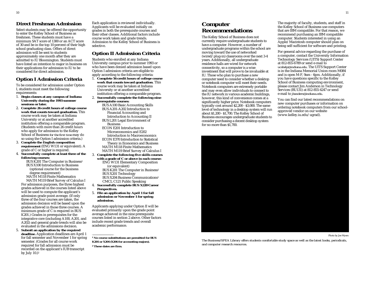### **Direct Freshman Admission**

Select students may be offered the opportunity to enter the Kelley School of Business as freshmen. These students must have a minimum SAT score of 1300 or an ACT score of 30 and be in the top 10 percent of their high school graduating class. Offers of direct admission will be sent to students approximately one month after they are admitted to IU Bloomington. Students must have listed an intention to major in business on their applications for admission to IU to be considered for direct admission.

### **Option I Admission Criteria**

To be considered for admission under Option I, students must meet the following requirements:

- 1. **Begin classes at any campus of Indiana University during the 1993 summer sessions or later.**
- 2. **Complete 26 credit hours of college course work that counts toward graduation.** This course work may be taken at Indiana University or at another accredited institution offering a comparable program. (Students with more than 26 credit hours who apply for admission to the Kelley School of Business *for the first time* may do so using the Option I admission criteria.)
- 3. **Complete the English composition requirement** (ENG W131 or equivalent). A grade of C or higher is required.
- 4. **Successfully complete at least three of the following courses:**

BUS K201 The Computer in Business<sup>1</sup> BUS X100 Introduction to Business (optional course for the business degree requirement) MATH M118 Finite Mathematics

MATH M119 Brief Survey of Calculus I For admission purposes, the three highest grades achieved in the courses listed above will be used to compute the applicant's admission grade point average. (If only three of the four courses are taken, the admission decision will be based upon the grades achieved in those three courses. A minimum grade of C is required in BUS K201.) Grades in prerequisites for the integrative core (including A100, A201, and A202) and general grade trends will also be evaluated in the admissions decision.

5. **Submit an application by the required deadline.** Application deadlines are April 1 for fall semester and November 1 for spring semester. (Grades for all course work required for fall admission must be recorded on the applicant's IUB transcript by July 10.)2

Each application is reviewed individually. Applicants will be evaluated initially on grades in both the prerequisite courses and their other classes. Additional factors include course work taken and grade trends. Admission to the Kelley School of Business is selective.

### **Option II Admission Criteria**

Students who enrolled at any Indiana University campus prior to summer 1993 or who have been denied admission based upon Option I admission criteria are eligible to apply according to the following criteria:

- 1. **Complete 56 credit hours of college course work that counts toward graduation**. This course work may be taken at Indiana University or at another accredited institution offering a comparable program. 2. **Successfully complete the following nine**
- **prerequisite courses:**
	- BUS A100 Basic Accounting Skills BUS A201-A202 Introduction to Financial Accounting and Introduction to Accounting II BUS L201 Legal Environment of Business
	- ECON E201 Introduction to Microeconomics and E202 Introduction to Macroeconomics ECON E370 Introduction to Statistical
	- Theory in Economics and Business MATH M118 Finite Mathematics MATH M119 Brief Survey of Calculus I
- 3. **Complete the following five skills courses with a grade of C or above in each course:** ENG W131 Elementary Composition
	- (or equivalent) BUS K201 The Computer in Business1 BUS X201 Technology

BUS X204 Business Communications1 CMCL C121 Public Speaking

- 4. **Successfully complete BUS X220 Career Perspectives.**
- 5. **File an application by April 1 for fall admission or November 1 for spring admission.**

Applicants applying under Option II will be evaluated primarily upon the grade point average achieved in the nine prerequisite courses listed in section 2 above. Other factors include recent grade trends and overall academic performance.

**<sup>1</sup> No course substitutions are permitted for BUS K201 or X204 (X206 for accounting majors). <sup>2</sup> These dates are firm.**

\_\_\_\_\_\_\_\_\_\_\_\_\_\_\_\_\_\_\_\_\_\_\_\_\_

### **Computer Recommendations**

The Kelley School of Business does not currently require undergraduate students to have a computer. However, a number of undergraduate programs within the school are moving toward the use of networked (wired/plug-in) classrooms over the next 3-4 years. Additionally, all undergraduate residence halls are wired for network connectivity, so a computer is a wise investment that will prove to be invaluable at IU. Those who plan to purchase a new computer need to consider whether a desktop or notebook computer will meet their needs. Notebook computers are extremely portable and may even allow individuals to connect to the IU network in various academic buildings, however, this kind of convenience comes at a significantly higher price. Notebook computers typically cost around \$2,200 - \$3,000. The same level of technology in a desktop system will run about \$1,200 - \$1,700. The Kelley School of Business encourages undergraduate students to consider purchasing a decent desktop system for no more than \$1,700.

The majority of faculty, students, and staff in the Kelley School of Business use computers that are IBM compatible. For that reason, we recommend purchasing an IBM compatible computer. Students interested in using an Apple/Macintosh computer should plan on being self-sufficient for software and printing.

For general advice regarding the purchase of <sup>a</sup> computer, contact the University Information Technology Services (UITS) Support Center at 812-855-6789 or send e-mail to *ucshelp@indiana.edu*. The UITS Support Center is in the Indiana Memorial Union room M084 and is open M-F, 9am - 6pm. Additionally, if you have questions specific to the Kelley School of Business computing environment, please contact Jim Anderson in Technology Services (BU131) at 812-855-4247 or send e-mail to *jbanders@indiana.edu*.

You can find our latest recommendations on new computer purchases or information on ordering notebook computers from our schoolapproved vendor on our website (www.kelley.iu.edu/ugrad).



Photo by Joe Myers

*The Business/SPEA Library offers students comfortable study space as well as the latest books, periodicals, and computer research resources.*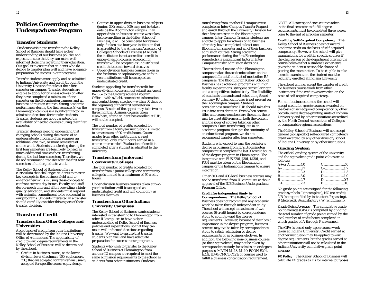### **Policies Governing the Undergraduate Program**

### **Transfer Students**

Students wishing to transfer to the Kelley School of Business should have a clear understanding of our business policies and expectations, so that they can make wellinformed decisions regarding their education. Our goal is to ensure that students who do decide to transfer plan well and have adequate preparation for success in our programs.

Transfer students must apply and be admitted to Indiana University and enroll through the University Division for at least their first semester on campus. Transfer students are eligible to apply for business admission after they have completed a minimum of one semester on the Bloomington campus and all business admission courses. Strong academic performance during the first semester(s) on the Bloomington campus is a significant factor in admission decisions for transfer students. Transfer students are not guaranteed the availability of needed courses during their first semester.

Transfer students need to understand that changing schools during the course of an undergraduate program often requires an additional one, two, or more semesters of course work. Students transferring during the first four semesters are less likely to need as much additional time as those transferring during the last four semesters. Therefore, we do not recommend transfer after the first four semesters of undergraduate work.

The Kelley School of Business offers a curriculum that challenges students to master key concepts in the business field and to enhance their skills in using these concepts to confront current-day issues. Faculty and staff devote much time and effort providing a highquality education, and students must respond with a similar commitment to be successful in our programs. Students interested in a transfer should carefully consider this as part of their transfer decision.

### **Transfer of Credit**

### **Transfers from Other Colleges and Universities**

Acceptance of credit from other institutions will be determined by the Indiana University Office of Admissions. The applicability of credit toward degree requirements in the Kelley School of Business will be determined by the school.

• Credits in business course, at the lowerdivision level (freshman, 100; sophomore, 200) that are accepted for transfer are usually accepted for specific course equivalency.

- Courses in upper-division business subjects (junior, 300; senior, 400) may not be taken outside the Bloomington campus. If an upper-division business course was taken before enrolling in the Kelley School of Business, it will be considered for review only if taken at a four-year institution that is accredited by the American Assembly of Collegiate Schools of Business (AACSB). If the institution is not accredited, credit in upper-division courses accepted for transfer will be accepted as undistributed credit that counts toward electives.
- • Upper-division business courses taken in the freshman or sophomore year at fouryear institutions will be accepted as undistributed credit.

Students appealing for transfer credit for upper-division courses must submit an *Appeal Petition* to the Undergraduate Program Office—with syllabi, course text information, and contact hours attached—within 30 days of the beginning of their first semester on campus. Results of the appeal may take two to three months. Business courses taken elsewhere, after a student has enrolled at IUB, will not be accepted.

The total number of credits accepted for transfer from a four-year institution is limited to a maximum of 90 credit hours. Course grades from other institutions are not transferred; only credit hours earned in a course are recorded. Evaluation of credit is completed after a student is admitted to the university.

### **Transfers from Junior and Community Colleges**

The total number of credits accepted for transfer from a junior college or a community college is limited to a maximum of 60 credit hours.

Upper-division business courses taken at twoyear institutions will be accepted as undistributed credit and will count only as business electives.

### **Transfers from Other Indiana University Campuses**

The Kelley School of Business wants students interested in transferring to Bloomington from other IU campuses to have a clear understanding of Kelley School of Business policies and expectations, so that they can make well-informed decisions regarding transfer. We want to ensure that transfer students plan well and have adequate preparation for success in our programs.

Students who wish to transfer to the Kelley School of Business at Bloomington from another IU campus are required to meet the same admission requirements to the school as students from other institutions. Students

transferring from another IU campus must complete an Inter-Campus Transfer Request and enroll through the University Division for their first semester on the Bloomington campus. Inter-Campus Transfer students are eligible to apply for admission to business after they have completed at least one Bloomington semester and all of their business admission courses. Strong academic performance during the first Bloomington semester(s) is a significant factor in Inter-Campus transfer admission decisions.

The residential nature of the Bloomington campus makes the academic culture on this campus different from that of most other IU campuses. The Bloomington Kelley School of Business has traditional programs with high faculty expectations, stringent curricular rigor, and a competitive student body. The flexibility of academic demands and scheduling found on many IU urban campuses is not present on the Bloomington campus. Students considering a transfer to IUB should take this issue into consideration. Even when course titles and course numbers are the same, there may be great differences in both the content and the rigor of courses taken on other campuses. Since transferring late in an academic program disrupts the continuity of an educational program, we do not recommend transfer after four semesters.

Students who expect to earn the bachelor's degree in business from IU's Bloomington campus must complete the last 30 credit hours of the degree program in Bloomington. The integrative core BUS F301, J301, M301, and P301 must be taken on the Bloomington campus or the Indianapolis campus to ensure integration.

Other 300- and 400-level business courses may not be transferred from IU campuses without approval of the IUB Business Undergraduate Program Office.

#### **Credit for Independent Study by**

**Correspondence** The Kelley School of Business does not recommend any academic work be taken through independent study. The school will accept a maximum of two courses (6 credit hours) by correspondence study to count toward the degree requirements. However, because of their basic importance in the degree program, business courses may *not* be taken by correspondence study to satisfy admission or degree requirements or as business electives. In addition, the following non–business courses (or their equivalents) may not be taken by correspondence study for admission or degree purposes: MATH M118, M119; ECON E201, E202, E370; CMCL C121; or courses used to fulfill a business concentration requirement.

NOTE: All correspondence courses taken in the final semester to fulfill degree requirements must be completed three weeks prior to the end of a regular semester.

**Credit by Self-Acquired Competency** The Kelley School of Business does not award academic credit on the basis of self-acquired competency. However, the school will give examinations for credit in specific courses if the chairperson of the department offering the course believes that a student's experience gives the student a reasonable chance of passing the examination. To be eligible to take a credit examination, the student must be regularly enrolled at Indiana University.

The school will *not* accept the transfer of credit for business course work from other institutions if the credit was awarded on the basis of self-acquired competency.

For non-business courses, the school will accept credit for *specific* courses awarded on the basis of self-acquired competency by other baccalaureate degree-granting units of Indiana University and by other institutions accredited by the North Central Association of Colleges or comparable regional associations.

The Kelley School of Business will not accept general (nonspecific) self-acquired competency credit awarded by any other division/school of Indiana University or by other institutions.

### **Grading System**

The official grading system of the university and the equivalent grade point values are as follows:

| $A+$ or $A$ 4.0 |                        |
|-----------------|------------------------|
| $A$ - 3.7       |                        |
| $B+$ 3.3        |                        |
| $B$ 3.0         | $D_{\text{max}} = 1.0$ |
|                 | $D-$ 0.7               |
|                 | $F$ 0.0                |

No grade points are assigned for the following grade symbols: I (incomplete), NC (no credit), NR (no report filed by instructor), P (passing), R (deferred), S (satisfactory), W (withdrawn).

**Grade Point Average** The cumulative grade point average (GPA) is computed by dividing the total number of grade points earned by the total number of credit hours completed in which grades of A through F are earned.

The GPA is based only upon course work taken at Indiana University. Credit earned at another institution may be applied toward degree requirements, but the grades earned at other institutions will not be calculated in the Indiana University cumulative grade point average.

**FX Policy** The Kelley School of Business will calculate FX grades as F's for internal purposes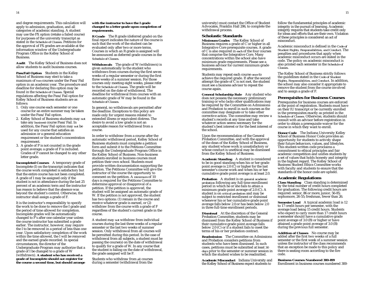and degree requirements. This calculation will apply to admission, graduation, and all categories of academic standing. A student may use the FX option (retake a failed course) for purposes of the university transcript as stated in the *Schedule of Classes*. Petitions for the approval of FX grades are available at the information window of the Undergraduate Program Office in the Kelley School of Business.

**Audit** The Kelley School of Business does not allow students to audit business courses.

**Pass/Fail Option** Students in the Kelley School of Business may elect to take a maximum of *two* courses under the Pass/Fail option in an academic year. The procedure and deadline for declaring this option may be found in the *Schedule of Classes*. Special regulations affecting the Pass/Fail option for Kelley School of Business students are as follows:

- 1. Only one course each semester or one course for an entire summer may be taken under the Pass/Fail option.
- 2. Kelley School of Business students may *not* take any *busines*s course Pass/Fail. In addition, the Pass/Fail option may *not* be used for any course that satisfies an admission or a general-education requirement or the student's concentration requirement.
- 3. A grade of P is not counted in the grade point average; a grade of F is included. Grades of P cannot be changed to any other letter grade.

**Incompleted Courses** A temporary grade of Incomplete (I) on the transcript indicates that the course work completed is satisfactory but that the entire course has not been completed. A grade of I may be assigned only if the student is not in attendance during the last 25 percent of an academic term and the instructor has reason to believe that the absence was beyond the student's control. Otherwise, the instructor shall assign a grade of F.

It is the instructor's responsibility to specify the work to be done to remove the I grade and the period of time allowed for completion. Incomplete grades will be automatically changed to  $\overline{F}$ 's after one calendar year unless the course instructor has submitted a grade earlier. The instructor, however, may require the I to be removed in a period of less than one year. Upon satisfactory completion of the work within the time allowed, the I will be removed and the earned grade recorded. In special circumstances, the director of the Undergraduate Program may authorize that a grade of I be changed to a grade of W (withdrawn). **A student who has received a grade of Incomplete should** *not* **register for the course a second time, but should arrange**

#### **with the instructor to have the I grade changed to a letter grade upon completion of requirements.**

**R Grade** The R grade (deferred grade) on the final report indicates the nature of the course is such that the work of the student can be evaluated only after two or more terms. Courses in which an R grade is assigned will be announced as deferred grade courses in the *Schedule of Classes*.

**Withdrawals** The grade of W (withdrawn) is given automatically to the student who withdraws from courses during the first seven weeks of a regular semester or during the first three weeks of a summer session. For those courses only meeting eight weeks, please refer to the *Schedule of Classes.* The grade will be recorded on the date of withdrawal. The deadline for withdrawal from courses with an automatic grade of W may be found in the *Schedule of Classes*.

In general, no withdrawals are permitted after the deadline. Exceptions to this policy are made only for urgent reasons related to extended illness or equivalent distress. The desire to avoid a low grade is not an acceptable reason for withdrawal from a course.

In order to withdraw from a course after the automatic withdrawal period, Kelley School of Business students must complete a petition form and submit it to the Petitions Committee through the Undergraduate Program Office in the Kelley School of Business. Non-business students enrolled in business courses must petition their own school. Students must provide written documentation supporting the petition. The Petitions Committee will give the instructor of the course the opportunity to comment on the petition. A *minimum* of 10 days is required for the Petitions Committee to determine approval or disapproval of a petition. If the petition is approved, the student will be assigned an automatic grade of W. If the petition is not approved, the student has two options: (1) remain in the course and receive whatever grade is earned, or (2) withdraw from the course with a grade of F regardless of the student's current grade in the course.

A student may *not* withdraw from individual courses during the last three weeks of a regular semester or the last two weeks of summer session. Only withdrawal from all courses will be permitted during this period. In the case of withdrawal from all subjects, a student must be passing the course(s) on the date of withdrawal to qualify for a grade of W. In any course that the student is failing on the date of withdrawal, the grade assigned will be F.

Students who withdraw from *all* courses during a semester (withdrawal from the

university) must contact the Office of Student Advocates, Franklin Hall 206, to complete the withdrawal process.

### **Scholastic Standards**

**Minimum Grades** The Kelley School of Business requires a grade of C or higher in all Integrative Core prerequisite courses. A grade of C is also required in *each* of the four courses that comprise the Integrative Core. Many concentrations within the school also have minimum grade requirements. Please see a business advisor for current minimum grade requirements.

Students may repeat each course *once* to achieve the required grade. If after the second attempt the grade of  $\tilde{C}$  is not met, the student must see a business advisor to repeat the course again.

**General Scholarship Rule** Any student who does not possess the necessary preliminary training or who lacks other qualifications may be required by the Committee on Admissions and Probation to enroll in such courses as the committee may designate or to take other corrective action. The committee may review a student's records at any time and take whatever action seems necessary for the student's best interest or for the best interest of the school.

Upon the recommendation of the General Probation Committee, and with the approval of the dean of the Kelley School of Business, any student whose work is unsatisfactory or whose conduct is unethical may be dismissed from the Kelley School of Business.

**Academic Standing** A student is considered to be in good standing when his or her grade point average is  $2.0\left(\overrightarrow{C}\right)$  or higher for the last semester's course work and when his or her cumulative grade point average is at least 2.0.

**Probation** A student is on *general academic probation* following any full-time enrollment period in which he or she fails to attain a minimum grade point average of 2.0 (C). A student is on *critical probation* and may be subject to restricted enrollment or dismissal whenever his or her cumulative grade point average falls below 2.0 or has been below 2.0 in three full-time enrollment periods.

**Dismissal** At the discretion of the General Probation Committee, students may be dismissed from the Kelley School of Business if their cumulative grade point average falls below 2.0 (C) or if a student fails to meet the terms of his or her probation contract.

**Readmission** The Committee on Admissions and Probation considers petitions from students who have been dismissed. In such cases, petitions must be submitted at least *30 days* prior to the semester or summer session in which the student wishes to be readmitted.

**Academic Misconduct** Indiana University and the Kelley School of Business expect students to

follow the fundamental principles of academic integrity in the pursuit of learning. Academic integrity requires that students take credit only for ideas and efforts that are their own. Violation of these principles is considered an act of misconduct.

Academic misconduct is defined in the *Code of Student Rights, Responsibilities, and Conduct*. The penalties and procedures that apply when academic misconduct occurs are stated in the code. The policy on academic misconduct is also printed each semester in the *Schedule of Classes*.

The Kelley School of Business strictly follows the guidelines stated in the *Code of Student Rights, Responsibilities, and Conduct*. In addition, the school may also consider it appropriate to remove the student from the course involved and to assign a grade of F.

#### **Prerequisites for Business Courses**

Prerequisites for business courses are enforced at the point of registration. Students must have on their IU transcript or be currently enrolled in the prerequisites exactly as printed in the *Schedule of Classes.* Otherwise, students should consult with an advisor before registration in order to obtain a prerequisite waiver for the course in which they want to enroll.

**Honor Code** The Indiana University Kelley School of Business Honor Code provides an opportunity for students to actively shape their future behaviors, values, and lifestyles. This student-written code proclaims a commitment to ethical principles and fair academic competition and unifies students by a set of values that holds honesty and integrity in the highest regard. The Kelley School of Business Student Ethics Committee works with faculty and students to ensure that the standards of the honor code are upheld.

#### **Academic Regulations**

**Class Standing** Class standing is determined by the total number of credit hours completed for graduation. The following credit hours are required: senior, 86 or more; junior, 56-85; sophomore, 26-55; freshman, fewer than 26.

**Semester Load** A typical academic load is 12 to 17 credit hours per semester, with the average load being 15 credit hours. Students who expect to carry more than 17 credit hours a semester should have a cumulative grade point average of 3.0 (B) or higher or have attained a grade point average of 3.0 (B) during the previous full semester.

**Addition of Classes** No course may be added after the first two weeks of a full semester or the first week of a summer session unless the instructor of the class recommends that an exception be made to this policy and there is seating room according to the fire code.

### **Business Courses Numbered 300-499**

Enrollment in business courses numbered 300-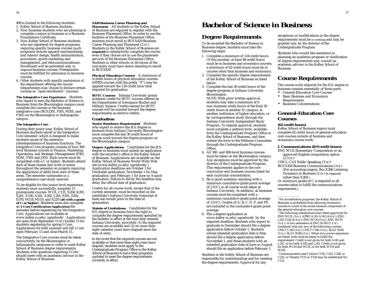499 is limited to the following students:

- 1. Kelley School of Business students.
- 2. Non–business students who are planning to complete a minor in business or a Business Foundations Certificate.
- 3. Non–Kelley School of Business students who are registered for degree programs requiring specific business courses (such programs include apparel merchandising and interior design, health administration, journalism, sports marketing and management, and telecommunications). Enrollment will be permitted only in *required* business courses. Prerequisites must be fulfilled for admission to business courses.
- 4. Other students with specific permission of the department offering the course (departments may choose to declare certain courses as ''open enrollment'' courses).

**The Integrative Core Experience** Students who expect to earn the Bachelor of Science in Business from the Bloomington campus must complete the courses in the business integrative core (BUS J301, F301, M301, and P301) on the Bloomington or Indianapolis campus.

#### **The Integrative Core**

During their junior year, Kelley School of Business students enroll in the Integrative Core semester, which is designed to make students aware of the extensive interdependence of business functions. The Integrative Core program consists of four 300 level Business courses in Finance, Marketing, Operations, and Strategic Management (F301, M301, P301 and J301). Each course must be completed with a C or higher. Students attend each of these classes and work in teams throughout the semester on projects requiring the application of skills from each of these areas. The semester culminates in a comprehensive case study exercise.

To be eligible for this junior-level experience, students must successfully complete 15 prerequisite courses: W131, C121, X204, K201, X201, A100, A201, A202, L201, E201, E202, E370, M118, M119, and X220 (**all with a grade of C or higher**). Students must also complete an *I-Core Certification Application* the semester before registering for the Integrative Core. Applications are available at www.kelley.iu.edu/ugradweb/. Applications are open from September 15 to October 15 for students registering for spring I-Core. Applications for both summer and fall I-Core open February 15 and close March 15.

The Integrative Core courses must be taken concurrently on the Bloomington or Indianapolis campuses in order to meet Kelley School of Business degree requirements. Students with questions regarding I-Core should meet with an academic advisor in the Kelley School of Business.

### **X420 Business Career Planning and**

**Placement** All students in the Kelley School of Business are required to register with the Business Placement Office. In order to use the facilities of the Business Placement Office, students must enroll in BUS X420 Business Career Planning and Placement (2 cr.). Students in the Kelley School of Business are required to satisfactorily complete the course, even if they choose not to use the placement services of the Business Placement Office. Students in other schools or divisions of the university must have senior standing to enroll in BUS X420.

**Physical Education Courses** A maximum of 4 credit hours of physical education courses (HPER courses with the prefix ''E") may be applied toward the 124 credit hour total required for graduation.

**ROTC Courses** Indiana University grants academic credit for ROTC courses offered by the Departments of Aerospace Studies and Military Science. Credits earned for ROTC courses will be counted toward the degree requirements as elective credits.

#### **Graduation**

**Senior Residence Requirement** Students who expect to receive the B.S. degree in business from Indiana University Bloomington must complete the last 30 credit hours of course work toward the degree program on the Bloomington campus.

**Degree Applications** Candidates for the B.S. degree in business must submit an application with the recorder's office in the Kelley School of Business. Applications are available on the Kelley School of Business World Wide Web site (www.kelley.iu.edu/ugradweb/). Application deadlines are October 1 for December graduation, November 1 for May graduation, and February 1 for June or August graduation. Failure to file by the deadline may delay the official date of graduation.

Credits for all course work, except that of the current semester, must be recorded on the candidate's Indiana University transcript at least one month prior to the date of graduation.

**Statute of Limitations** Candidates for the B.S. degree in business have the right to complete the degree requirements specified by the bulletin in effect at the time they entered Indiana University, provided: (1) the required courses are available and (2) no more than eight calendar years have elapsed since the date of entry.

In the event that the required courses are not available or that more than eight years have elapsed, students must apply to the Undergraduate Program Office in the Kelley School of Business to have their programs updated to meet the degree requirements currently in effect.

# **Bachelor of Science in Business**

### **Degree Requirements**

To be awarded the Bachelor of Science in Business degree, students must take the following steps:

- 1. Complete a minimum of 124 credit hours. Of this number, at least 48 credit hours must be in business and economics courses; a minimum of 62 credit hours must be in courses other than business and economics.
- 2. Complete the specific degree requirements of the Kelley School of Business as listed below.
- 3. Complete the last 30 credit hours of the degree program at Indiana University Bloomington.

NOTE: With prior written approval, students may take a maximum of 6 non–business credit hours of the final 30 credit hours at another IU campus, at another institution of higher education, or by correspondence study through the Indiana University Independent Study Program. To request approval, students must complete a petition form, available from the Undergraduate Program Office in the Kelley School of Business, and then submit the form to the Petitions Committee through the Undergraduate Program Office.

- 4. All 300- and 400-level business courses must be taken on the Bloomington campus. Any exceptions must be approved by the director of the Undergraduate Program. This requirement applies to the core curriculum and business courses listed for each curricular concentration.
- 5. Be in good academic standing with a minimum cumulative grade point average of 2.0 (C) in all course work taken at Indiana University. In addition, *all* business courses must be completed with a minimum cumulative grade point average of 2.0 (C). Grades of A, B, C, D, F, and FX are included in the cumulative grade point average.
- 6. File a degree application at www.kelley.iu.edu/ugradweb/ by the required deadline. Students who expect to graduate in December should file a degree application before October 1. Students whose intended graduation date is May should file a degree application before November 1, and those students with an intended graduation date of June or August should file an application before February 1.

Students in the Kelley School of Business are responsible for understanding and for meeting the degree requirements. Approval for any

exceptions or modifications in the degree requirements must be *in writing* and may be granted only by the director of the Undergraduate Program.

Students who would like assistance in planning an academic program or clarification of degree requirements may consult an academic advisor in the Kelley School of Business.

### **Course Requirements**

The course work required for the B.S. degree in business consists essentially of three parts:

- General-Education Core Courses
- Basic Business and Economics Requirements
- Business Concentrations

### **General-Education Core Courses**

### **(62 credit hours)**

Kelley School of Business majors must complete 62 credit hours of general-education core courses outside of business and economics course work.<sup>1</sup>

### **I. Communications (8-9 credit hours)**

ENG W131 Elementary Composition or an approved English composition option  $(2-3 \text{ cr.})^2$ 

CMCL C121 Public Speaking (3 cr.)3

BUS X204 Business Communications (3 cr.) (For accounting majors, Bus X206 Listening Dynamics in Business (2 cr.) is *required* rather than X204.)

(A minimum grade of C is required in all courses taken to fulfill the communications requirement.)

<sup>1</sup> For accreditation purposes, the Kelley School of Business is prohibited from allowing economics courses to count in the social sciences component of the general-education core courses. <sup>2</sup> The following substitutions have been approved for ENG W131 (3 cr.): AFRO A141-A142 (4-4 cr.); ENG L141-L142 (4-4 cr.); ENG W110 (3 cr.); ENG W170  $(3 \text{ cr.})$ ; or two semesters of ENG W143  $(1-1 \text{ cr.})$ combined with any two of the following courses: CMLT C145 (3 cr.), CMLT C146 (3 cr.), SLAV R145 (3 cr.), SLAV R146 (3 cr.). When two-course sequences are listed, both must be taken to fulfill the requirement. Credit is not given for both A141 and L141, or for both A142 and L142. Credit is not given for both W110 and W131, or for both W110 and W143.

<sup>3</sup> Communication and Culture C130, C223, C228, or C225, or Theatre T115 or T120 may be substituted for C121.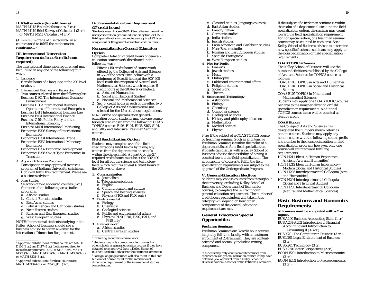### **II. Mathematics (6 credit hours)**

MATH M118 Finite Mathematics (3 cr.)<sup>1</sup> MATH M119 Brief Survey of Calculus I (3 cr.) or MATH M211 Calculus I  $(4 \text{ cr.})^2$ 

(A minimum grade of C is required in all courses used to fulfill the mathematics requirement.)

### **III. International Dimension Requirement (at least 6 credit hours required)**

The international dimension requirement may be fulfilled in any one of the following four ways.

1. *Language*

6 credit hours of a language at the 200 level or above.

2. *International Business and Economics* Two courses selected from the following list: Business D301 The International Business Environment

Business D302 International Business: Operations of International Enterprises Business L411 International Business Law Business F494 International Finance

Business G494 Public Policy and the International Economy

Business M401 International Marketing Economics E303 Survey of International Economics

Economics E331 International Trade

Economics E332 International Monetary Economics

Economics E337 Economic Development Economics E386 Soviet-Type Economies in Transition

### 3. *Approved Overseas Programs*

Participation in any approved overseas program of Indiana University (minimum 6 cr.) will fulfill this requirement. Please see a business advisor.

4. *Area Studies*

Selection of two approved courses (6 cr.) from one of the following area studies programs.

- a. African studies
- b. Central Eurasian studies
- c. East Asian studies
- d. Latin American and Caribbean studies
- e. Near Eastern studies
- f. Russian and East European studies
- g. West European studies

NOTE: International students studying in the Kelley School of Business should see a business advisor to obtain a waiver for the International Dimension Requirement.

<sup>2</sup> Approved substitutions for these courses are MATH M213 (4 cr.), or COAS J113 (3 cr.).

### **IV. General-Education Requirement (27 credit hours)**

*Students may choose ONE of two alternatives—the nonspecialization general-education option or ONE field specialization—to complete a required 27 hour component of the general-education core courses.*

#### *Nonspecialization General-Education Option*

Complete a total of 27 credit hours of generaleducation course work distributed in the following way:

- 1. Fifteen (15) credit hours of course work offered by the College of Arts and Sciences in *one* of the areas listed below with a minimum of 6 credit hours at the 300/400 level (with the exception of Natural and Mathematical Sciences, which requires 6 credit hours at the 200 level or higher): a. Arts and Humanities
	- b. Social and Historical Studies<sup>3</sup>
- c. Natural and Mathematical Sciences<sup>4</sup> 2. Six (6) credit hours in each of the other two College of Arts and Sciences areas not

selected for the 15 credit hour requirement. *Note:* For the nonspecialization generaleducation option, students may use one course for each area chosen from the following: COAS TOPICS courses E103, E104, E105, S103, S104, and S105, and Intensive Freshmen Seminar courses.

### *Field Specialization Option*

Students may complete *one* of the field specializations listed below by taking any courses from the departments or schools within the chosen field. At least 6 of the 27 required credit hours must be at the 300/400 level for all but the science and technology field, which requires at least 6 credit hours at the 200 level or above.

#### **1. Communication**

- a. Journalism
- b. Telecommunications
- c. English
- d. Communication and culture
- e. Speech and hearing sciences<br>f. Physics (P105 and P106 only)
- Physics (P105 and P106 only)
- **2. Environmental**
	- a. Biology
	- b. Chemistry
	- c. Geological sciences
	- d. Public and environmental affairs
	- e. Physics (P120, P201, P202, P211, and P310 only)
- **3. International5**
	- a. African studies
	- b. Central Eurasian studies

<sup>3</sup> Excluding economics course work.

<sup>4</sup> Students may only count computer courses from other schools as general education courses if they have obtained *prior* approval from a Kelley School of Business academic advisor or the Petitions Committee. <sup>5</sup> Foreign language courses will also count in this area but cannot double count for the international dimension requirement or the international studies concentration.

- c. Classical studies (language courses)
- d. East Asian studies
- e. French/Italian
- f. Germanic studies
- g. India studies Jewish studies
- i. Latin American and Caribbean studies
- 
- j. Near Eastern studies<br>k. Russian and East Eur
- k. Russian and East European studies
- l. Spanish/Portuguese
- m. West European studies
- **4. Not-for-Profit**
	- a. Fine arts b. Jewish studies
	- c. Music
	- d. Philosophy
	- e. Public and environmental affairs
	- f. Religious studies
	- g. Social work
	- h. Theatre

#### **5. Science and Technology1**

- a. Astronomy
- b. Biology
- c. Chemistry
- d. Computer science
- e. Geological sciences
- f. History and philosophy of science
- 
- g. Mathematics h. Medical science
- i. Physics

*Note:* If the subject of a COAS TOPICS course or freshman seminar (such as an Intensive Freshman Seminar) is within the realm of a department listed for a field specialization, students can discuss with a Kelley School of Business advisor the possibility of having it counted toward the field specialization. The applicability of courses to fulfill the field specialization requirements are subject to the approval of the Undergraduate Program.

#### **V. General-Education Electives**

Students may choose courses from throughout the university, excluding Kelley School of Business and Department of Economics courses, to complete the 62 credit hour general-education requirement. The number of credit hours each student will take in this category will depend on how other components of the general-education requirement are met.

### **General Education Special Opportunities**

#### **Freshman Seminars**

Freshman Seminars are 3 credit hour courses taught by full-time faculty with a maximum enrollment of 20 freshmen. They are contentoriented and normally include a writing component.

<sup>1</sup> Students may only count computer courses from other schools as general education courses if they have obtained *prior* approval from a Kelley School of Business academic advisor or the Petitions Committee.

If the subject of a freshman seminar is within the realm of a department listed under a field specialization option, the seminar may count toward the field specialization requirement. For nonspecialization, one freshman seminar course may be counted in each area. See a Kelley School of Business advisor to determine how specific freshman seminars may apply to the nonspecialization or field specialization requirements.

#### **COAS TOPICS Courses**

The Kelley School of Business will use the number definitions established by the College of Arts and Sciences for TOPICS courses as follows:

COAS E103 TOPICS in Arts and Humanities COAS E104 TOPICS in Social and Historical Studies

COAS E105 TOPICS in Natural and Mathematical Sciences

The College of Arts and Sciences has designated the numbers shown below as honors courses. Students may apply any honors course with the following course prefix and number to the nonspecialization or field specialization program; however, only one course will count toward fulfilling

HON H211 Ideas in Human Experience— Ancient (Arts and Humanities) HON H212 Ideas in Human Experience— Modern (Social and Historical Studies) HON H203 Interdepartmental Colloquia (Arts

HON H204 Interdepartmental Colloquia (Social and Historical Studies) HON H205 Interdepartmental Colloquia (Natural and Mathematical Sciences)

**Basic Business and Economics**

**All courses must be completed with a C or**

BUS A100 Business Accounting Skills (1 cr.) BUS A201-A202 Introduction to Financial Accounting and Introduction to Accounting II (3-3 cr.) BUS K201 The Computer in Business (3 cr.) BUS L201 Legal Environment of Business

ECON E202 Introduction to Macroeconomics

Students may apply one COAS TOPICS course per area to the nonspecialization or field specialization requirements. Additional TOPICS courses taken will be counted as elective credit.

#### **COAS Honors**

requirements.

and Humanities)

**Requirements**

**higher.**

(3 cr.)

(3 cr.)

(3 cr.)

BUS X201 Technology (3 cr.) BUS X220 Career Perspectives (2 cr.) ECON E201 Introduction to Microeconomics

<sup>1</sup> Approved substitutions for this course are MATH D116 (3 cr.) *and* D117 (3 cr.) (both are required to meet the requirement), MATH S118 (3 cr.), MATH M301 (3 cr.), MATH M303 (3 cr.), MATH M360 (3 cr.), or MATH S303 (3 cr.).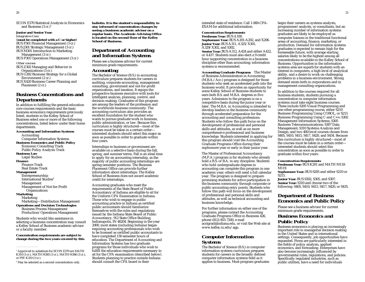ECON E370 Statistical Analysis in Economics and Business  $(3 \text{ cr.})^1$ 

### **Junior and Senior Year:**

*Integrative Core* (**must be completed with a C or higher**) BUS F301 Financial Management (3 cr.) BUS J301 Strategic Management (3 cr.) BUS M301 Introduction to Marketing

Management (3 cr.) BUS P301 Operations Management (3 cr.)

#### *Other courses*

BUS Z302 Managing and Behavior in Organizations (3 cr.) BUS G302 Business Strategy for a Global Environment (2 cr.)

BUS X420 Business Career Planning and Placement (2 cr.)

### **Business Concentrations and Departments**

In addition to fulfilling the general-education core courses requirements and the basic business economics requirements previously listed, students in the Kelley School of Business select one or more of the following concentrations, listed below under their home departments.

**Accounting and Information Systems**

Accounting Computer Information Systems **Business Economics and Public Policy** Economic Consulting Track Public Policy Analysis Track **Business Law** Legal Studies **Finance** Finance Track Real Estate Track **Management** Entrepreneurship International Studies<sup>2</sup> Management Management of Not-for-Profit **Organizations Marketing** Marketing Marketing—Distribution Management **Operations and Decision Technologies** Business Process Management Production/Operations Management Students who would like assistance in selecting a business concentration may consult a Kelley School of Business academic advisor

or a faculty member. **Concentration requirements are subject to change during the two years covered by this** **bulletin. It is the student's responsibility to stay informed of concentration changes by seeing a business academic advisor on a regular basis. The Academic Advising Office is located on the second floor of the Kelley School of Business.**

### **Department of Accounting and Information Systems**

Please see a business advisor for current minimum grade requirements.

### *Accounting*

The Bachelor of Science (B.S.) in accounting curriculum prepares students for careers in auditing, corporate accounting, management consulting, government and not-for-profit organizations, and taxation. It equips the prospective business executive with tools for intelligent analysis, planning, control, and decision making. Graduates of this program are among the leaders of the profession and the worldwide business community. The accounting curriculum also provides an excellent foundation for the student who wants to pursue graduate work in business, public administration, or law. Because this curriculum is highly structured—most of the courses must be taken in a certain order interested students should select this major as soon as possible in order to graduate within four years.

Internships in business or government are available on a selective basis during the fall, spring, and summer terms. Fall is an ideal time to apply for an accounting internship, as the majority of public accounting internships are spring-semester positions. The Business Placement Office can provide further information about internships. The Kelley School of Business does not award academic credit for internships.

Accounting graduates who meet the requirements of the State Board of Public Accountancy of Indiana are eligible to sit for the Uniform CPA Examination in Indiana. Those who wish to engage in public accounting practice in Indiana as certified public accountants should familiarize themselves with the rules and regulations issued by the Indiana State Board of Public Accountancy, 912 State Office Building, Indianapolis, IN 46204. Beginning in the year 2000, most states (including Indiana) began requiring accounting professionals who wish to be licensed as certified public accountants to have completed 150 semester hours of education. The Department of Accounting and Information Systems has two graduate programs for those individuals who wish to fulfill the education requirements necessary to sit for the CPA examination (described below). Students planning to practice outside Indiana should consult the CPA board in their

intended state of residence. Call 1-800-CPA-EXAM for additional information.

### *Concentration Requirements*

**Freshman Year:** BUS A100. **Sophomore Year:** BUS A201-A202, and X206. **Junior Year:** BUS A311, A325/X301, A329/X302, and S302. **Senior Year:** BUS A312, A424 and either A422, or A437. Students must also elect a 9 credit hour supporting concentration in a business discipline other than accounting; information systems is recommended.

**Accounting Graduate Programs** The Master of Business Administration in Accounting (M.B.A./Acc.) program is designed for those students who seek an accelerated path into the business world. It provides an opportunity for some Kelley School of Business students to earn both B.S. and M.B.A. degrees in five years. Admission to the program is on a competitive basis during the junior year or later. The M.B.A. in Accounting is intended to develop leaders in the business community through accelerated preparation for the accounting and consulting professions. Students who follow this path focus on the development of professional and personal skills and attitudes, as well as on more comprehensive professional and business knowledge. Students interested in applying for this program should visit the Accounting Graduate Programs Office during their sophomore year or early in their junior year.

The Master of Professional Accountancy (M.P.A.) program is for students who already hold a B.S. or B.A. in any discipline. Students who hold undergraduate degrees in accounting can complete this program in one academic year; others will need a full calendar year. The program is designed to prepare promising students for active participation in the business community through corporate or public accounting entry points. Students who follow this path will focus on the development of professional and personal skills and attitudes, as well as technical accounting and business knowledge.

For further information on either one of the programs, please contact the Accounting Graduate Programs Office in Business 426, phone (812) 855-7200, e-mail acctgrad@indiana.edu, or visit the Web site at www.kelley.iu.edu/agp.

### *Computer Information Systems*

The Bachelor of Science (B.S.) in computer information systems curriculum prepares students for careers in the broadly defined computer information systems field as it applies to business. Most program graduates begin their careers as systems analysts, programmer/analysts, or consultants, but an increasing number of information systems graduates are likely to be employed as computer liaisons in the traditional functional areas of accounting, finance, marketing, or production. Demand for information systems graduates is expected to remain high for the foreseeable future, with average starting salaries likely to be the highest among all concentrations available in the Kelley School of Business. Opportunities in the information systems area are superb for students with an interest in computers, a high level of analytical ability, and a desire to work on challenging problems in a business environment. Strong demand exists both in corporations and in management consulting organizations.

In addition to the courses required for all business students, students pursuing a concentration in computer information systems must take eight business courses. These include S205 Visual Programming and one other programming course, either S210 Business Programming Using COBOL, or S215 Business Programming Using C and C++; S302 Management Information Systems; S305 Business Telecommunications; S307 Data Management; S310 Systems Analysis and Design; and two 400-level courses chosen from S405, S410, S415, S417, S420, and S434. Because this curriculum is highly structured—most of the courses must be taken in a certain order interested students should select this concentration as soon as possible in order to graduate within four years.

#### *Concentration Requirements*

**Freshman Year:** BUS K201 and MATH M118- M119.

**Sophomore Year:** BUS S205 and either S210 or S215.

**Junior Year:** BUS S302, S305, and S307. **Senior Year:** S310 and choose two of the following: S405, S410, S415, S417, S420, or S435.

### **Department of Business Economics and Public Policy**

Please see a business advisor for current minimum grade requirements.

### *Business Economics and Public Policy*

Business economics is playing an increasingly important role in managerial decision making in the United States and in international settings. Consequently, job opportunities have expanded. Firms are particularly interested in the fields of policy analysis, applied economics, and forecasting. Enterprises have also become increasingly influenced by governmental rules, regulations, and policies. Specifically regulated industries, such as public utilities, have a need for individuals

<sup>&</sup>lt;sup>1</sup> Approved to substitute for ECON E370 are MATH K310 (3 cr.), MATH M365 (3 cr.), MATH M366 (3 cr.), or PSY K310 (3 cr.).

<sup>&</sup>lt;sup>2</sup> May be selected as a second concentration only.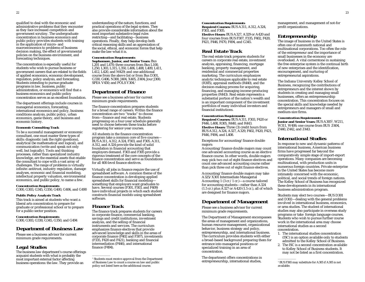qualified to deal with the economic and administrative problems that they encounter as they face increased competition and government scrutiny. The undergraduate concentration in business economics and public policy provides students with training in the application of micro- and macroeconomics to problems of business decision making, the effect of governmental policies on the business environment, and forecasting techniques.

The concentration is especially useful for students who wish to pursue business or government careers that are related to the fields of applied economics, economic development, regulation, policy analysis, and forecasting. Students intending to pursue graduate programs in law, business, public administration, or economics will find that a business economics and public policy concentration serves as an excellent foundation.

The department offerings include courses in managerial economics, forecasting, international economics and policy, business conditions analysis, public policy, urban economics, game theory, and business and economic history.

#### **Economic Consulting Track**

To be a successful management or economic consultant, one must master three types of skills: diagnostic (ask the right questions), analytical (be mathematical and logical), and communication (write and speak not only well, but logically). Tools and thinking processes, rather than specialized industry knowledge, are the essential assets that enable the consultant to cope with a vast array of challenges. The range of problems is virtually infinite: antitrust, industry regulation, damage analyses, economic and financial modeling, intellectual property valuation, environmental economics, and public policy, to name a few.

#### *Concentration Requirements*

G300, G303, G345, G350, G400, G406, and G490

### **Public Policy Analysis Track**

This track is aimed at students who want a liberal arts concentration to prepare for graduate or professional school or to prepare for a public-sector position.

### *Concentration Requirements*

G300, G303, G330, G345, G350, and G494

### **Department of Business Law**

Please see a business advisor for current minimum grade requirements.

### *Legal Studies*

The business law department's course offerings acquaint students with what is probably the most important external factor affecting business operations: the law. They provide an

understanding of the nature, functions, and practical operations of the legal system. They also provide considerable information about the most important substantive legal rules restricting—and facilitating—business operations. Finally, they help develop both critical reasoning skills and an appreciation of the social, ethical, and economic forces that help make the law what it is.

*Concentration Requirements* **Sophomore, Junior, and Senior Years:** Bus L<sub>20</sub>1 and L<sub>470</sub>; three courses from Bus L<sub>100</sub>. L250, L303, L315, L350, L406, L408, L409, L411, L412, L420, and M429; and one additional course from the above list or from Bus D301, G330, G406, N300, J404, X405, Z404; Jour J300; SPEA V450: and POLS Y304.<sup>1</sup>

### **Department of Finance**

Please see a business advisor for current minimum grade requirements.

The finance concentration prepares students for a broad range of careers. Within the finance concentration are two "tracks" to choose from—finance and real estate. Students progressing on a four-year schedule generally need to choose between these tracks before registering for senior-year courses.

All students in the finance concentration program take a common core of five courses— BUS A311, A312, A324, F303, and F305. A311, A312, and A324 provide the kind of solid foundation in financial accounting that employers demand. F303 and F305 provide a rigorous treatment of the core concepts of the finance concentration and serve as foundations for all 400-level finance electives.

Virtually all jobs in finance require the use of spreadsheet software. A common theme of the finance concentration is developing applied spreadsheet skills for financial modeling something that employers want graduates to have. Several courses (F301, F303, and F409) have individual projects in which each student constructs financial models using spreadsheet software.

### *Finance Track*

The finance track prepares students for careers in corporate finance, commercial banking, savings and credit institutions, investment analysis, and the selling of financial instruments and services. The curriculum emphasizes finance electives that provide advanced knowledge and skills in the areas of corporate finance (F402 and F307), investments (F335, F420 and F421), banking and financial intermediation (F446), and international finance (F494).

<sup>1</sup> Students must receive approval from the Department of Business Law to count a course on law and public policy not listed here as the additional course.

#### *Concentration Requirements*

**Required Courses:** BUS A311, A312, A324, F303, and F305.

**Elective Hours:** BUS A327, A329 or A420 and four courses from BUS F307, F335, F402, F420, F421, F446, F470, F494, and G345.

### *Real Estate Track*

The real estate track prepares students for careers in corporate real estate, investment analysis, appraising, financing, mortgage banking, property management, and residential and commercial properties marketing. The curriculum emphasizes analytic techniques applicable to real estate (R305), appraisal methods (R440), and the decision-making process for acquiring, financing, and managing income-producing properties (R443). Real estate represents a substantial portion of the nation's wealth and is an important component of the investment portfolios of many individual investors and financial institutions.

#### *Concentration Requirements*

**Required Courses:** BUS A311, F303, F420 or F446, L408, R305, R440, and R443. **Elective Hours:** Three (3) credit hours from BUS A312, A324, A327, A329, F402, F420, F421, F446, F494, and L408.

Exceptions for accounting/finance double majors:

Accounting/finance double majors may count one advanced accounting course as an elective finance course. In other words, double majors may pick two out of eight finance electives and count one advanced accounting course rather than pick three out of eight finance electives.

Accounting/finance double majors may take A325/X301 Intermediate Managerial Accounting 1 (3 cr./1 cr.)—a course tailored for accounting students—rather than A324 (1.5 cr.) plus A327 or A420 (1.5 cr.), all of which are designed for finance majors.

### **Department of Management**

Please see a business advisor for current minimum grade requirements.

The Department of Management encompasses the areas of management and organizations, human resource management, organizational behavior, business strategy and policy, entrepreneurship, and international business. The curriculum provides students with either a broad-based background preparing them for entrance into managerial positions or specialized training in an area of concentration.

The department offers concentrations in entrepreneurship, international studies,

management, and management of not-for profit organizations.

### *Entrepreneurship*

The image of business in the United States is often one of mammoth national and multinational corporations. Too often the role of the entrepreneur and the importance of small businesses in the economy are overlooked. A vital cornerstone in sustaining the free enterprise system is the continual birth of new enterprises and the identification, encouragement, and nurturing of entrepreneurial aspirations.

The Indiana University Kelley School of Business, recognizing the contributions of entrepreneurs and the interest shown by students in creating and managing small businesses, offers an entrepreneurship concentration. This concentration focuses on the special skills and knowledge needed by entrepreneurs and managers of small and medium-size firms.

#### *Concentration Requirements*

**Junior and Senior Years:** BUS A3051, W211, W311, W406; one course from BUS Z404, Z440, Z442, and Z443.

### *International Studies*

In response to new and dynamic patterns of international business, American business firms have progressed far beyond the comparatively simple stage of import-export operations. Many companies are becoming multinational, with production units in numerous foreign countries. Private enterprise in the United States has become more intimately concerned with the economic, political, and social trends of foreign nations. The Kelley School of Business has recognized these developments in its international business administration program.

Students may elect two courses—BUS D301 and D302—dealing with the general problems involved in international business, economics, or area studies. The student of international studies may also participate in overseas study programs or take foreign language courses. Students who wish to pursue further course work in the international area may choose international studies as a second concentration.

- 1. The international studies concentration (ISC) is an option available only to students admitted to the Kelley School of Business.
- 2. The ISC is a second concentration available to Kelley School of Business students. It may not be listed as a first concentration.

<sup>1</sup> BUS F365 may substitute for A305 if A305 is not available.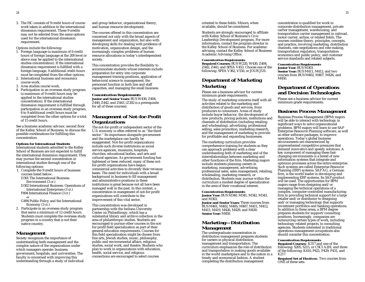3. The ISC consists of 9 credit hours of course work taken in addition to the international dimension requirement. These 9 credits may not be selected from the same options used for the international dimension requirement.

Options include the following:

- 1. Foreign language (a maximum of 6 credit hours of foreign language at the 200 level or above may be applied to the international studies concentration). If the international dimension requirement is fulfilled with a foreign language, 9 additional credit hours must be completed from the other options.
- 2. International business and economics course work.
- 3. Area studies course work.
- 4. Participation in an overseas study program (a maximum of 9 credit hours may be applied to the international studies concentration). If the international dimension requirement is fulfilled through participation in an overseas study program, 6 to 9 additional credit hours must be completed from the other options for a total of 15 credit hours.

See a business academic advisor, second floor of the Kelley School of Business, to discuss the possible combinations for fulfilling this concentration.

#### **Options for International Students**

International students admitted to the Kelley School of Business are not expected to fulfill the international dimension requirement. They may pursue the second concentration in international studies through one of the following options:

1. Complete the 9 credit hours of business courses listed below:

D301 The International Business Environment (3 cr.)

- D302 International Business: Operations of International Enterprises (3 cr.)
- F494 International Finance (3 cr.) *or*
- G494 Public Policy and the International Economy (3 cr.)
- 2. Participate in an overseas study program that earns a minimum of 12 credit hours. Students must complete the overseas study program in a country that is not their native country.

### *Management*

Society recognizes the importance of understanding both management and the complex nature of the organizations under which managers operate: business, government, hospitals, and universities. The faculty is concerned with improving this understanding through a study of individual and group behavior, organizational theory, and human resource development.

The courses offered in this concentration are concerned not only with the broad aspects of management and organization, but also with developing skills for dealing with problems of motivation, organization design, and the increasingly complex problems of human resource allocations in today's interdependent society.

This concentration provides the flexibility to accommodate students whose interests include preparation for entry into corporate management training positions, application of behavioral science to management, the personnel function in both line and staff capacities, and managing the small business.

### *Concentration Requirements*

**Junior and Senior Years:** BUS W430, Z404, Z440, Z442, and Z443. (Z302 is a prerequisite for all of these courses).

### *Management of Not-for-Profit Organizations*

The not-for-profit or independent sector of the U.S. economy is often referred to as ''the third sector.'' Its importance alongside government and the marketplace can hardly be exaggerated. Not-for-profit organizations include such diverse institutions as social service agencies, museums, hospitals, churches, educational bodies, and arts and cultural agencies. As government funding has tightened or been reduced, many of these notfor-profit organizations have begun commercial activities to diversify their revenue bases. The need for individuals with a broad background in business to fill management and administrative positions in these institutions is great because not all have been managed well in the past. In this context, a concentration in mangement of not-for-profit organizations will contribute to the improvement of this vital sector.

This concentration was developed in partnership with the Indiana University Center on Philanthropy, which has a substantial library and archive collection in the area of philanthropic studies. Students are encouraged to pursue other courses in the notfor-profit field specialization as part of their general-education requirements. Courses for this field specialization might be chosen from fine arts, Jewish studies, music, philosophy, public and environmental affairs, religious studies, social work, and theatre. Students who plan to work in organizations with education, health, social service, and religious connections are encouraged to select courses

oriented to these fields. Minors, when available, should be considered.

Students are strongly encouraged to affiliate with Kelley School of Business's Civic Leadership Development program. For more information, contact the program director in the Kelley School of Business. For academic advising, contact the Kelley School of Business Academic Advising Office.

#### *Concentration Requirements*

**Required Courses:** BUS W220, W430, Z404, Z442, Z443, and SPEA V453. Choose one of the following: SPEA V362, V550, or JOUR J531.

### **Department of Marketing** *Marketing*

Please see a business advisor for current minimum grade requirements.

The study of marketing concerns itself with all activities related to the marketing and distribution of goods and services, from producers to consumers. Areas of study include buyer behavior, the development of new products, pricing policies, institutions and channels of distribution (including retailing and wholesaling), advertising, professional selling, sales promotion, marketing research, and the management of marketing to provide for profitable and expanding businesses.

The marketing curriculum provides comprehensive training for students so they can approach problems with a clear understanding both of marketing and of the interrelationships between marketing and other functions of the firm. Marketing majors include students planning careers in marketing, management, advertising, professional sales, sales management, retailing, wholesaling, marketing research, or distribution. Students may pursue within the curriculum a modest degree of specialization in the area of their vocational interest.

#### *Concentration Requirements*

**Junior Year:** BUS M340, M341, M342, M343, and M303.

**Junior and Senior Years:** Three courses from BUS M401, M402, M405, M407, M411, M412, M415, M419, M426, M429, and M430. **Senior Year:** M450.

### *Marketing—Distribution Management*

The undergraduate concentration in distribution management prepares students for careers in physical distribution management and transportation. The curriculum emphasizes the role of distribution and transportation in making goods available in the world marketplace and to the nation in a timely and economical fashion. A student completing the distribution management

concentration is qualified for work in corporate distribution management, private carrier management, warehousing, and transportation carrier management in railroad, motor carrier, airline, or related fields. The courses combine theory, principles, concepts, and practice, involving marketing, distribution channels, rate negotiations and rate making, transportation regulation, transportation economics and public policy, and customer service standards and related subjects.

### *Concentration Requirements*

**Junior Year:** BUS M303. **Senior Year:** BUS M411, M412, and two courses from BUS M402, M407, M426, and M450.

### **Department of Operations and Decision Technologies**

Please see a business advisor for current minimum grade requirements.

### *Business Process Management*

Business Process Management (BPM) majors will be able to interact with technology in significant ways to solve organizational problems. BPM majors will learn to use SAP Enterprise Resource Planning software, as well as other software packages, to improve operations. Today's global business environments are characterized by unprecedented competitive pressures that demand innovative and speedy solutions. A key component of managing these fastchanging environments is a breed of new information systems that integrate and optimize processes across the entire enterprise. Such systems are called Enterprise Resource Planning (ERP) systems. SAP AG, a German firm, is the world leader in developing and implementing ERP systems. Its SAP product will be used. The opportunities for BPM majors range from designing and/or managing the technical operations of a complex, computer-controlled manufacturing firm to providing technical support for a large retailer and/or distributor to designing and/or managing technology that supports investment portfolios and banking operations. In addition to these areas, a BPM degree prepares students for support/consulting positions. Increasingly, companies are outsourcing certain types of work, including technology-related projects, to consulting agencies. Students interested in traditional operations management occupations also should consider this concentration.

#### *Concentration Requirements*

**Required Courses:** K317 and one of the following: S205, S215, or CSCI A201; and three of the following: K410, P421, P429, P431, and K217.

**Required Set of Electives:** Two courses from ONE of three sets: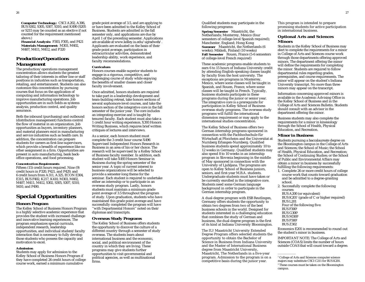**Computer Technology:** CSCI A202, A306, BUS S302, S305, S307, S310, and K490 (S205 or S215 may be counted as an elective if not counted for the requirement mentioned above.)

**Financial Analysis:** F303, F305, and F421 **Materials Management:** M303, M402, M407, M411, M412, and P320

### *Production/Operations Management*

The production/operations management concentration allows students the greatest tailoring of their interests in either line or staff positions in industries such as transportation, retailing, and entertainment. Students can also customize this concentration by pursuing courses that focus on the application of computing and information technology to improve manufacturing operations. Job opportunities are in such fields as systems analysis, production control, and quality assurance.

Both the inbound (purchasing) and outbound (distribution management) functions control the flow of material in an organization. Job opportunities as buyers, inventory planners, and material planners exist in manufacturing and service industries such as health care. In addition, the concentration can prepare students for careers as first-line supervisors, which provide a breadth of experience like no other assignment in a firm. Opportunities are present in auto manufacturing, bank backoffice operations, and food processing.

#### *Concentration Requirements*

Fifteen (15) credit hours required. Nine (9) credit hours in P320, P421, and P429, and 6 credit hours from A311, A325, ECON E304, E315, BUS F402, K217, K410, M303, M402, M407, M411, M412, S302, S305, S307, S310, S410, and P490.

### **Special Opportunities**

### **Honors Program**

The Kelley School of Business Honors Program is a highly selective academic experience that provides the student with increased challenge and innovative learning experiences. The program emphasizes special curricula, independent research, leadership opportunities, and individual student/faculty interaction that is necessary to fully develop those students who possess the capacity and motivation to excel.

#### **Admission**

Students may apply for admission to the Kelley School of Business Honors Program if they have completed 26 credit hours of college course work, earned a minimum cumulative

grade point average of 3.5, and are applying to or have been admitted to the Kelley School of Business. Students are admitted in the fall semester only, and applications are due by April 1 of the preceding semester. Applications are available at www.kelley.iu.edu/ugradweb/. Applicants are evaluated on the basis of their grade point average, participation in extracurricular activities, demonstrated leadership ability, work experience, and faculty recommendations.

#### **Curriculum**

Honors courses enable superior students to engage in a rigorous, competitive, and challenging course of study while enjoying the benefits of smaller classes and closer faculty involvement.

Once admitted, honors students are required to take part in a leadership development and team-building retreat, take honors sections of several sophomore-level courses, and take the honors section of the integrative core in the fall semester of the junior year. The core includes an integrating exercise and is taught by tenured faculty. Each student must also take a 1 credit hour writing experience, X393 Honors Writing Business, which requires brief written critiques of lectures and interviews.

As a senior, each honors student must complete the 3 credit hour course X496 Supervised Independent Honors Research in Business in an area of his or her choice. The research will be supervised by a Kelley School of Business faculty member. In addition, each student will take X493 Honors Seminar in Business during the spring semester of the senior year. A topic of current interest to business organizations will be selected to provide a semester-long theme for the seminar. Each student is required to undertake either an internship or to participate in an overseas study program. Lastly, honors students must maintain a minimum grade point average of 3.5 throughout the program of study. Upon graduation, students who have maintained this grade point average and have successfully completed the program will have ''with Departmental Honors'' noted on their diplomas and transcripts.

#### **Overseas Study Programs**

The Kelley School of Business offers students the opportunity to discover the culture of a different country through a semester of study overseas. The students learn about international business and the economic, social, and political environment of the country in which they are living. These programs may give students further opportunities to visit governmental and political agencies, as well as multinational firms.

Qualified students may participate in the following programs:

**Spring Semester** Maastricht, the Netherlands; Monterrey, Mexico (four semesters of college-level Spanish required); Manchester, England; Hong Kong **Summer** Maastricht, the Netherlands (6 weeks); Mikkeli, Finland (10 weeks) **Fall Semester** Rouen, France (5-6 semesters of college-level French required)

These academic programs enable students to earn 6 to 15 hours of Indiana University credit by attending English-speaking classes taught by faculty from the host university. The exceptions are programs in Monterrey, Mexico, where some classes will be taught in Spanish, and Rouen, France, where some classes will be taught in French. Typically, business students participate in these programs during the junior or senior year. The integrative core is a prerequisite for participation in Kelley School of Business overseas study programs. The overseas study programs will fulfill the international dimension requirement or may apply to the international studies concentration.

The Kelley School of Business offers two German internship programs sponsored in connection with the Fachhochschule für Wirtschaft at Pforzheim and the Universitat at Nurnberg Erlangen-Nurnberg. Qualified business students spend approximately 10 to 12 weeks in Germany. Qualified students may also spend 8 to 10 weeks in an internship program in Slovenia beginning in the middle of May sponsored in connection with the University of Ljubljana. The programs are open to Kelley School of Business juniors, seniors, and first-year M.B.A. students. Undergraduate students must have taken or be currently enrolled in the integrative core. Students need some German language background in order to participate in the German internship program.

A dual-degree program with ESB Reutlingen, Germany offers students the opportunity to obtain two degrees from two of the best business schools in the world. Designed for students interested in a challenging education that combines the study of German and business, the dual-degree program is the first of its kind at Indiana University Bloomington.

The IU/Maastricht University Extended Degree Program offers selected students the opportunity to obtain the Bachelor of Science in Business from Indiana University and the Master of International Business degree from Maastricht University, Maastricht, The Netherlands in a five-year program. Admission to the program is on a competitive basis during the junior year.

This program is intended to prepare promising students for active participation in international business.

### **Optional Arts and Sciences Minors**

Students in the Kelley School of Business may elect to complete the requirements for a minor in College of Arts and Sciences course work through those departments offering approved minors. The department offering the minor will define the requirements for completing the minor. Students are required to follow departmental rules regarding grades, prerequisites, and course requirements. The minor will appear on the student's Indiana University transcript. No more than three minors may appear on the transcript.

Information concerning approved minors is available in the Academic Advising Office in the Kelley School of Business and in the College of Arts and Sciences Bulletin. Students should consult with an advisor in the department offering the minor.

Business students may also complete the requirements for a minor in kinesiology through the School of Health, Physical Education, and Recreation.

### **Minor in Business**

Students pursuing a baccalaureate degree on the Bloomington campus in the College of Arts and Sciences; the School of Music; the School of Health, Physical Education, and Recreation; the School of Continuing Studies; or the School of Public and Environmental Affairs may obtain a minor in business by successfully fulfilling the following requirements:

- 1. Complete 26 or more credit hours of college course work that counts toward graduation and be admitted to a degree-granting school.
- 2. Successfully complete the following courses: BUS A200 (or equivalent) BUS K201<sup>1</sup> (grade of C or higher required) BUS L201
	- Four of the following five:
- **BUS F300**<sup>2</sup>
- **BUS G300<sup>2</sup>**
- **BUS M300<sup>2</sup>**
- **BUS P300<sup>2</sup>**
- BUS Z302

Economics E201 is recommended to round out the student's minor in business.

IMPORTANT NOTE: The College of Arts and Sciences (COAS) limits the number of hours outside COAS that will count toward a degree.

<sup>&</sup>lt;sup>1</sup> College of Arts and Sciences computer science majors may substitute CSCI C211 for BUS K201.

<sup>2</sup> These courses must be taken on the Bloomington campus.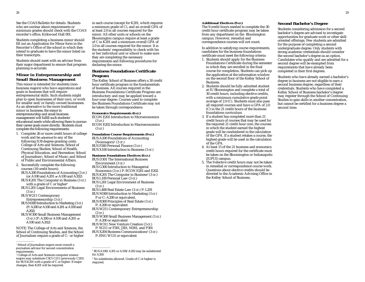See the COAS Bulletin for details. Students who are unclear about requirements or minimum grades should check with the COAS recorder's office, Kirkwood Hall 001.

Students completing a business minor should fill out an Application for Minor form in the Recorder's Office of the school in which they intend to graduate to have the minor listed on their transcripts.

Students should meet with an advisor from their major department to ensure that program planning is accurate.

### **Minor in Entrepreneurship and Small Business Management**

This minor is intended for students (nonbusiness majors) who have aspirations and goals in business that will require entrepreneurial skills. Such students might plan to open businesses of their own, or work for smaller and/or family-owned businesses. As an alternative to the more traditional minor in business, the minor in entrepreneurship and small business management will fulfill such students' educational needs while allowing them to pursue their career goals more directly. Students must complete the following requirements:

- 1. Complete 26 or more credit hours of college work and be *admitted* to any of the following IUB degree-granting units: College of Arts and Sciences; School of Continuing Studies; School of Health, Physical Education, and Recreation; School of Journalism1; School of Music; and School of Public and Environmental Affairs.
- 2. Successfully complete the following courses (18 credit hours): BUS A200 Foundations of Accounting (3 cr.) (or A100 and A201 *or* A100 and A202) BUS K201 The Computer in Business (3 cr.) with a grade of  $C$  or higher<sup>2</sup> BUS L201 Legal Environments of Business (3 cr.) BUS W211 Contemporary Entrepreneurship (3 cr.) BUS M300 Introduction to Marketing (3 cr.)
	- (P: A200 or A100 and A201 *or* A100 and A202) BUS W300 Small Business Management
	- (3 cr.) (P: A200 or A100 and A201 *or* A100 and A202)

NOTE: The College of Arts and Sciences, the School of Continuing Studies, and the School of Journalism require a grade of C– or higher

<sup>2</sup> College of Arts and Sciences computer science majors may substitute CSCI C211 (previously C201) for BUS K201 with a grade of C or higher. If major changes, then K201 will be required.

in each course (except for K201, which requires a minimum grade of C), and an overall  $GPA$  of at least 2.0 in all courses required for the minor. All other units or schools on the Bloomington campus require at least a grade of C in K201 and a minimum overall GPA of 2.0 in all courses required for the minor. It is the students' responsibility to check with his or her individual unit or school to make sure they are completing the necessary requirements and following procedures for declaring the minor.

### **Business Foundations Certificate Program**

The Kelley School of Business offers a 30 credit hour certificate program in the fundamentals of business. All courses required in the Business Foundations Certificate Program are introductory and may be applied toward a four-year degree. Courses used to complete the Business Foundations Certificate may not be taken through correspondence.

### **Economics Requirements (6 cr.)**

ECON E201 Introduction to Microeconomics (3 cr.)

ECON E202 Introduction to Macroeconomics (3 cr.)

**Foundation Course Requirements (9 cr.)** BUS A200 Foundations of Accounting  $(Nonmajor)<sup>1</sup>$  (3 cr.) BUS F260 Personal Finance (3 cr.) BUS X100 Introduction to Business (3 cr.)

### **Business Foundations Electives (6 cr.)**

- BUS D301 The International Business Environment (3 cr.) BUS G300 Introduction to Managerial
- Economics (3 cr.) P: ECON E201 and E202
- BUS K201 The Computer in Business<sup>2</sup> (3 cr.) BUS L100 Personal Law (3 cr.)
- BUS L201 Legal Environment of Business (3 cr.)
- BUS L408 Real Estate Law (3 cr.) P: L201 BUS M300 Introduction to Marketing (3 cr.)
- P or C: A200 or equivalent. BUS R300 Principles of Real Estate (3 cr.)
- P: A200 or equivalent
- BUS W211 Contemporary Entrepreneurship (3 cr.)
- BUS W300 Small Business Management (3 cr.) P: A200 or equivalent
- BUS W311 New Venture Creation (3 cr.)
- P: W211 or F301, J301, M301, and P301
- BUS X204 Business Communications<sup>2</sup> (3 cr.) P: ENG W131 or equivalent
- 

<sup>1</sup> BUS A100/A201 or A100/A202 may be substituted for A200.

<sup>2</sup> No substitutes allowed. Grade of C or higher is required.

#### **Additional Electives (9 cr.)**

credit hour certificate program may be taken campus. However, remedial and correspondence courses will not count.

In addition to satisfying course requirements, candidates for the business foundations certificate must meet the following criteria:

- in which they are enrolled in the final the application at the information window on the second floor of the Kelley School of Business.
- 2. Students should be fully admitted student at IU Bloomington and complete a total of 30 credit hours, including elective credits, with a minimum cumulative grade point (C) in the 21 credit hours of the business foundations curriculum.
- 3. If a student has completed more than 21 credit hours of courses that may be used for the required 21 credit hour core, the courses in which the student earned the highest grade will be condsidered in the calculation of the GPA. If a student retakes a course, the highest grade will be used in the calculation of the GPA.
- credit hours required for the certificate must be taken on the Bloomington or Indianapolis (IUPUI) campus.
- 5. The 9 elective credit hours may not be taken in remedial or correspondence course work. Questions about elective credits should be directed to the Academic Advising Office in the Kelley School of Business.

### **Second Bachelor's Degree**

Students considering admission for a second bachelor's degree are advised to investigate opportunities for graduate work or other skilloriented offerings. Few students are admitted for the purpose of completing a second undergraduate degree. Only students with strong academic credentials should consider the second bachelor's degree as an option. Candidates who qualify and are admitted for a second degree will be exempted from requirements that have already been completed in their first degrees.

Students who have already earned a bachelor's degree in business are not eligible to earn a second business degree, regardless of their credentials. Students who have completed a Kelley School of Business bachelor's degree may register through the School of Continuing Studies to gain skills in another concentration, but cannot be certified for a business degree a second time.

The 9 credit hours needed to complete the 30 from any department on the Bloomington

1. Students should apply for the Business

- Foundations Certificate during the semester course for completion. Students can pick up
- average of 2.0 (C). Students must also pass all required courses and have a GPA of 2.0
- 
- 4. At least 15 of the 21 business and economics

<sup>&</sup>lt;sup>1</sup> School of Journalism majors must consult a journalism advisor for second concentration requirements.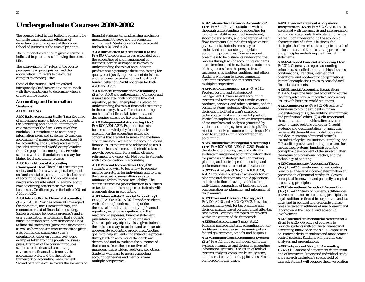# **Undergraduate Courses 2000-2002**

The courses listed in this bulletin represent the complete undergraduate offerings of departments and programs of the Kelley School of Business at the time of printing.

The number of credit hours given a course is indicated in parentheses following the course title.

The abbreviation ''P'' refers to the course prerequisite or prerequisites, and the abbreviation "C" refers to the course corequisite or corequisites.

Some of the courses listed are offered infrequently. Students are advised to check with the departments to determine when a course will be offered.

### **Accounting and Information Systems ACCOUNTING**

**A100 Basic Accounting Skills (1 cr.)** Required of all business majors. Introduces students to the accounting and financial information environment of the firm. Consists of five modules: (1) introduction to accounting information users and systems; (2) financial accounting; (3) management accounting; (4)  $tax accounting$ ; and  $(5)$  integrative activity. Includes current real-world examples taken from the popular business press. Provides students with the foundation necessary for higher-level accounting courses.

### **A200 Foundations of Accounting**

**(Nonmajors) (3 cr.)** The role of accounting in society and business with a special emphasis on fundamental concepts and the basic design of accounting systems. For non–business majors who are interested in learning about how accounting affects their lives and businesses. Credit not given for both A200 and A201 or A202.

### **A201 Introduction to Financial Accounting**

**(3 cr.)** P: A100. Provides balanced coverage of the mechanics, measurement theory, and economic context of financial accounting. Strikes a balance between a preparer's and a user's orientation, emphasizing that students must understand both how transactions lead to financial statements (preparer's orientation) as well as how one can infer transactions given a set of financial statements (user's orientation). Relies on current real-world examples taken from the popular business press. First part of the course introduces students to the financial accounting environment, financial statements, the accounting cycle, and the theoretical framework of accounting measurement. Second part of the couse covers the elements of financial statements, emphasizing mechanics, measurement theory, and the economic environment. Students cannot receive credit for both A201 and A200.

**A202 Introduction to Accounting II (3 cr.)** P: A100. Concepts and issues associated with the accounting of and management of business; particular emphasis is given to understanding the role of accounting in product costing strategic decisions, costing for quality, cost-justifying investment decisions, and performance evaluation and control of human behavior. Credit not given for both A200 and A202.

**A205 Honors Introduction to Accounting I (3 cr.)** P: A100 and authorization. Concepts and issues associated with corporate financial reporting; particular emphasis is placed on understanding the role of financial accounting in the economy, how different accounting methods affect financial statements, and developing a basis for life-long learning. **A305 Entrepreneurial Accounting (3 cr.)** P: A100/A201-A202. Expands students' business knowledge by focusing their attention on the accounting issues and concerns that are vital to small- and mediumsize businesses. Focuses on the accounting and finance issues that must be addressed to assist these businesses in meeting their objectives of growth, preparation for a public offering, retirement of owners, etc. Not open to students with a concentration in accounting.

**A308 Personal Income Taxes (3 cr.)** For students who wish to learn how to prepare income tax returns for individuals and to plan their personal business affairs so as to minimize federal income tax liability. The course assumes no prior education in business or taxation, and it is not open to students with a concentration in accounting.

**A311 Intermediate Financial Accounting 1 (3 cr.)** P: A100/A201-A202. Provides students with a thorough understanding of the theoretical foundations underlying financial reporting, revenue recognition, and the matching of expenses; financial statement presentation; and accounting for assets. Course's primary objective is to give students the tools necessary to understand and execute appropriate accounting procedures. Another goal is to help students understand the process through which accounting standards are determined and to evaluate the outcomes of that process from the perspectives of managers, shareholders, auditors, and others. Students will learn to assess competing accounting theories and methods from multiple perspectives.

#### **A312 Intermediate Financial Accounting 2**

**(3 cr.)** P: A311. Provides students with a thorough understanding of accounting for long-term liabilities and debt investment, stockholders' equity, and preparation of cash flow statements. Course's first objective is to give students the tools necessary to understand and execute appropriate accounting procedures. Course's second objective is to help students understand the process through which accounting standards are determined and to evaluate the outcomes of that process from the perspectives of managers, shareholders, auditors, and others. Students will learn to assess competing accounting theories and methods from multiple perspectives.

**A324 Cost Management (1.5 cr.)** P: A311. Product costing and strategic cost management. Covers several accounting systems and techniques that ascribe costs to products, services, and other activities, and the costing systems' potential effects on business decisions in light of a firm's strategic, technological, and environmental position. Particular emphasis is placed on interpretation of the numbers and analyses generated by various accounting systems and the pitfalls most commonly encountered in their use. Not open to students with a concentration in accounting.

**A325 Intermediate Managerial Accounting 1 (3 cr.)** P: A100/A201-A202; C: X301. Enables the student to prepare, use, and critically evaluate management accounting information for purposes of strategic decision making, planning and control, product costing, and performance measurement and evaluation.

**A327 Tax Analysis (1.5 cr.)** P: A100, A201, A202. Provides a business framework for tax planning and decision making. Applications include selection of savings vehicles for individuals, comparison of business entities, compensation tax planning, and international tax planning.

#### **A329 Taxes and Decision Making (3 cr.)** P: A100, A210, and A202; C: X302. Provides a business framework for tax planning and decision making based on discounted after-tax cash flows. Technical tax topics are covered within the context of the framework.

**A335 Fund Accounting (3 cr.)** P: A202. Financial management and accounting for nonprofit-seeking entities such as municipal and federal governments, schools, and hospitals.

**A337 Computer-Based Accounting Systems (3 cr.)** P: A311. Impact of modern computer systems on analysis and design of accounting information systems. Discussion of tools of systems analysis, computer-based systems, and internal controls and applications. Focus on microcomputer usage.

### **A420 Financial Statement Analysis and**

**Interpretation (1.5 cr.)** P: A312. Covers issues associated with the analysis and interpretation of financial statements. Particular emphasis is placed upon understanding the economic characteristics of a firm's business, the strategies the firm selects to compete in each of its businesses, and the accounting procedures and principles underlying the financial statements.

### **A422 Advanced Financial Accounting (3 cr.)**

P: A312. Generally accepted accounting principles as applied to partnerships, business combinations, branches, international operations, and not-for-profit organizations. Particular emphasis is given to consolidated financial statements.

**A423 Financial Accounting Issues (3 cr.)**

P: A422. Capstone financial accounting course that integrates several theoretical accounting issues with business-world situations.

**A424 Auditing (3 cr.)** P: A312. Objectives of course are to provide students with an understanding of: (1) the auditing environment and professional ethics; (2) audit reports and the conditions under which alternatives are used; (3) basic auditing concepts; (4) audit evidence and documentation; (5) analytical reviews; (6) the audit risk model; (7) review and documentation of internal controls; (8) audits of cycles; (9) statistical sampling; and (10) audit objectives and audit procedures for mechanized systems. Emphasis is on the conceptual development of the subject matter, the nature of professional practice, and the technology of auditing.

**A425 Contemporary Accounting Theory (3 cr.)** P: A422. Development of accounting principles; theory of income determination and presentation of financial condition. Covers conceptual framework and generally accepted accounting principles.

**A433 International Aspects of Accounting (3 cr.)** P: A422. Study of numerous differences between countries in accounting principles, in legal traditions reflected in corporation and tax laws, and in political and economic philosophies revealed in attitudes of management and labor toward their social and economic involvement.

#### **A437 Intermediate Managerial Accounting 2**

**(3 cr.)** P: A325. Objective of course is to provide students with advanced managerial accounting knowledge and skills. Emphasis is on strategic decision making and management control systems. Students will provide case analyses and presentations.

**A490 Independent Study in Accounting (1-3 cr.)** P: Consent of department chairperson and of instructor. Supervised individual study and research in student's special field of interest. Student will propose the investigation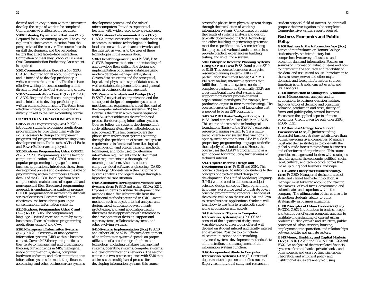desired and, in conjunction with the instructor, develop the scope of work to be completed. Comprehensive written report required.

**X206 Listening Dynamics in Business (2 cr.)** Required for all accounting majors. The course explores business communication from the perspective of the receiver. The course focus is on skill development and the perceptual factors that affect face-to-face interaction. Completion of the Kelley School of Business Oral Communication Proficiency Assessment is required.

**X301 Communications Core (1 cr.)** P: X206. C: A325. Required for all accounting majors and is intended to develop proficiency in written communication skills. The focus is on effective writing for cost accounting and is directly linked to the Cost Accounting course. **X302 Communications Core II (1 cr.)** P: X206; C: A329. Required for all accounting majors and is intended to develop proficiency in written communication skills. The focus is on effective writing for tax accounting and is directly linked to the Tax Accounting course.

### **COMPUTER INFORMATION SYSTEMS**

**S205 Visual Programming (3 cr.)** P: K201. Introduces students to business applications programming by providing them with the skills necessary to design and implement programs and program interfaces using visual development tools. Tools such as Visual Basic and Power Builder are employed.

**S210 Business Programming Using COBOL (3 cr.)** P: S205. Programming is at the heart of computer utilization, and COBOL remains a popular programming language for some business applications. Introduces the systems development process and considers the role of programming within that process. Covers details of the COBOL language from basic components to maintenance of sequential and nonsequential files. Structured programming approach is emphasized as students prepare COBOL programs for an increasingly difficult series of exercises. Recommended as an elective course for students pursuing a concentration in information systems.

**S215 Business Programming Using C and C++ (3 cr.)** P: S205. The programming language C is used more and more by many businesses. Teaches business programming applications using C and C++.

**S302 Management Information Systems (3 cr.)** P: K201. Overview of management information systems (MIS) within a business context. Covers MIS theory and practice as they relate to management and organization theories; current trends in MIS; managerial usage of information systems; computer hardware, software, and telecommunications; information systems for marketing, finance, accounting, and other business areas; systems development process; and the role of microcomputers. Provides experiential learning with widely used software packages.

**S305 Business Telecommunications (3 cr.)** P: S302. Introduces students to a wide range of telecommunications technologies, including local area networks, wide area networks, and the Internet, as well as to the uses of these technologies in the organization.

**S307 Data Management (3 cr.)** P: S205; P or C: S302. Improves students' understanding of and develops their skills in the design and implementation of business databases using modern database management systems. Covers data structures and the conceptual, logical, and physical design of databases, as well as database implementation and general issues in business data management.

**S310 Systems Analysis and Design (3 cr.)**  P: S307. Analysis of an organization and the subsequent design of computer systems to meet business requirements are at the heart of the computer information systems (CIS) field. Course is the first in a two-course sequence with S410 that addresses the multiphased process for developing information systems. Courses follow the systems development life cycle, although alternative methodologies are also covered. This first course covers the phases from information systems planning through the specification of structured system requirements in functional form (i.e., logical system design) and concentrates on methods, techniques, and tools used to determine information requirements and to document these requirements in a thorough and unambiguous form. Also introduces computer-aided software engineering (CASE) technology. Students learn the discipline of systems analysis and logical design through a hypothetical case situation.

**S405 Alternative Development Methods and Systems (3 cr.)** P: S310 and either S210 or S215. Exposes students to system development and methods that differ substantially from the traditional methods presented in S310. Covers methods such as object-oriented analysis and design, rapid application development/ prototyping, and joint application design. Illustrates these approaches with reference to the development of decision-support and expert systems, collaborative systems, and other evolving systems.

**S410 Systems Implementation (3 cr.)** P: S310 and either S210 or S215. Effective development of an information system depends on proper utilization of a broad range of information technology, including database management systems, operating systems, computer systems, and telecommunications networks. The second course in a two-course sequence with S310 that addresses the multiphased process for developing information systems, this course

covers the phases from physical system design through the installation of working information systems. Concentrates on using the results of systems analysis and design, typically documented in CASE technology, and either building or generating systems to meet these specifications. A semester-long field project and various hands-on exercises provide practical experience in building, testing, and installing a system.

**S415 Enterprise Resource Planning Systems Using SAP R/3 (3 cr.)** P: S310 and either S210 or S215. This course focuses on enterprise resource planning systems (ERPs), in particular on the market leader, SAP R/3. ERPs are on-line, interactive systems that fulfill the information systems needs of complex organizations. Specifically, ERPs are cross-functional integrated systems that support more recent process-oriented organizational paradigms (for example, lean production or just-in-time manufacturing). The course focuses on the type of knowledge that is needed to be an ERP consultant.

**S417 SAP R/3 Basis Configuration (3 cr.)** P: S310 and either S210 or S215; P or C: S415. This course addresses the technological foundations (Basis) of the SAP R/3 enterprise resource planning system. R/3 is a multitiered, client-server system that functions in open systems environments. ABAP/4, SAP's proprietary programming language, underlies the majority of technical areas. Hence, this course uses the ABAP/4 programming as a springboard for introducing further areas of technical interest.

#### **S420 Object-Oriented Design and**

**Development (3 cr.)** P: S215 and S310. This course is designed to introduce students to the concepts of object-oriented design and development. The Unified Modeling Language (UML) will be used to demonstrate objectoriented design concepts. The programming language Java will be used to illustrate objectoriented programming concepts. The focus of the course will be on the use of UML and Java to create business applications. Students will learn how to use Java to create both standalone applications and applets.

**S435 Advanced Topics in Computer Information Systems (3 cr.)** P: S302 and consent of the department chairperson. Variable topics course; topics offered will depend on student interest and faculty interest and expertise. Possible topics include telecommunications and networking, advanced systems development methods, data administration, and management of the information systems function.

**S490 Independent Study in Computer Information Systems (1-3 cr.)** P: Consent of department chairperson and of instructor. Supervised individual study and research in student's special field of interest. Student will propose the investigation to be completed. Comprehensive written report required.

### **Business Economics and Public Policy**

**G100 Business in the Information Age (3 cr.)** Direct admit freshmen or Honors College students only. An introductory but comprehensive survey of business and economic data and information. Focuses on sources of information, what it means and how to interpret it, the accuracy and reliability of the data, and its use and abuse. Introduction to the *Wall Street Journal* and other major domestic and foreign information sources. Emphasis is on trends, current events, and issue analysis.

**G300 Introduction to Managerial Economics (3 cr.)** Microeconomic analysis and its applications to business decision making. Includes topics of demand and consumer behavior, production and costs, theory of firms, and public policy toward business. Focuses on the applied aspects of microeconomics. Credit given for only one: G300, ECON E321.

### **G302 Business Strategy for a Global**

**Environment (2 cr.)** P: Junior standing. Successful business strategy entails more than outmaneuvering rival companies. Managers must also devise strategies to cope with the global outside forces that confront businesses and other forms of organization. This course provides managers and leaders with strategies that win against the economic, political, social, legal, cultural, and technological forces that make up our global business landscape.

### **G303 Game Theory for Business Strategy**

**(3 cr.)** P: G300. Managerial decisions are not static and cannot be made in isolation. A manager must take into account and react to the "moves" of rival firms, government, and subordinates and superiors within the company. The ultimate aim of this course is to strengthen students' ability to think strategically in business situations.

**G330 Principles of Urban Economics (3 cr.)** P: G302, G303. Introduction to basic concepts and techniques of urban economic analysis to facilitate understanding of current urban problems: urban growth and structure, public provision of urban services, housing, employment, transportation, and relationships between public and private sectors.

**G345 Money, Banking, and Capital Markets (3 cr.)** P: A100, A202 and ECON E201-E202 and E370. An analysis of the interrelated financial systems of central banks, private banks, and other sources and users of financial capital. Theoretical and empirical policy and institutional issues are analyzed using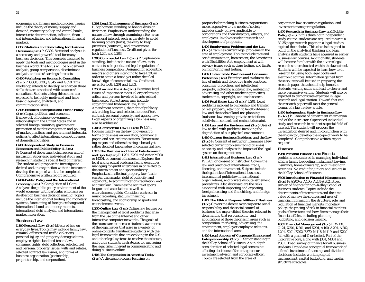economics and finance methodologies. Topics include the theory of money supply and demand, monetary policy and central banks, interest rate determination, inflation, financial intermediaries, and international financial markets.

**G350 Statistics and Forecasting for Business Decisions (3 cr.)** P: G300. Statistical analysis is a necessary and powerful tool for many business decisions. This course is designed to apply the tools and methodologies used in the business world. The focus will be on demand analysis, group comparisons, discriminant analysis, and sales/earnings forecasts.

**G400 Workshop on Economic Consulting (3 cr.)** P: G300, G303, G345, and G350. This workshop intends to develop or sharpen those skills that are associated with a successful consultant. Students taking this course are expected to be highly motivated and have basic diagnostic, analytical, and communication skills.

**G406 Business Enterprise and Public Policy (3 cr.)** Legal, political, and economic framework of business-government relationships in the United States and in selected foreign countries; government promotion of market competition and policing of market practices, and government industrial policies to affect international competitiveness of domestic industries.

**G490 Independent Study in Business Economics and Public Policy (1-3 cr.)** P: Consent of department chairperson and of instructor. Supervised individual study and research in student's special field of interest. The student will propose the investigation desired and, in conjunction with the instructor, develop the scope of work to be completed. Comprehensive written report required.

**G494 Public Policy and the International Economy (3 cr.)** P: Completion of I-Core. Analyzes the public policy environment of the world economy with particular emphasis on its effect on business decision making. Topics include the international trading and monetary systems, functioning of foreign exchange and international bond and money markets, international debt analysis, and international market integration.

#### **Business Law**

**L100 Personal Law (3 cr.)** Effects of law on everyday lives. Topics may include family law, criminal offenses and traffic violations, personal injury and property damage claims, employee rights, landlord-tenant law, consumer rights, debt collection, selected real and personal property issues, wills and estates, selected contract law issues, and forms of business organization (partnership, proprietorship, and corporation).

**L201 Legal Environment of Business (3 cr.)**  P: Sophomore standing or honors division freshman. Emphasis on understanding the nature of law through examining a few areas of general interest, such as the duty to avoid harming others (torts), the duty to keep promises (contracts), and government regulation of business. Credit not given for both L201 and L203.

**L203 Commercial Law I (3 cr.)** P: Sophomore standing. Includes the nature of law, torts, contracts, sale goods, and legal regulation of business competition. Designed for accounting majors and others intending to take L303 in order to attain a broad yet rather detailed knowledge of commercial law. Credit not given for both L201 and L203.

**L250 Law and the Arts (3 cr.)** Examines legal issues of importance to visual or performing artists and persons involved in arts-related businesses. Subject areas may include copyright and trademark law; First Amendment concerns; the right of publicity; advertising law; and selected issues of tort, contract, personal property, and agency law. Legal aspects of organizing a business may also be addressed.

**L303 Commercial Law II (3 cr.)** P: L201. Focuses mainly on the law of ownership, forms of business organization, commercial paper, and secured transactions. For accounting majors and others desiring a broad yet rather detailed knowledge of commercial law. **L315 The Business and Law of Entertainment**

**and Sports (3 cr.)** P: L201, K201 and either M300 or M301, or consent of instructor. Explores the legal and practical problems facing executives managing for-profit enterprises in or related to the entertainment and sports industry. Emphasizes intellectual property law (trade secrets, trademarks, right of publicity, and copyright), telecommunications regulation, and antitrust law. Examines the nature of sports leagues and associations as well as entertainment guilds. Considers contracts in music recording, stadium financing, broadcasting, and sponsorship of sports and entertainment events.

**L350 Online Law (3 cr.)** Online law focuses on the management of legal problems that arise from the use of the Internet and other interactive computer networks. The goals of the course are to increase students' awareness of the legal issues that arise in a variety of online contexts, familiarize students with the legal frameworks that are evolving in the U.S. and other legal systems to resolve those issues, and guide students in strategies for managing the legal risks inherent in communicating and doing business online.

**L405 The Corporation in America Today (3 cr.)** A discussion course focusing on

proposals for making business corporations more responsive to the needs of society; includes study of laws applicable to corporations and their directors, officers, and employees. Involves student research and development of proposals.

**L406 Employment Problems and the Law (3 cr.)** Examines current legal problems in the area of employment. Topics include race and sex discrimination, harassment, the Americans with Disabilities Act, employment at will, privacy issues such as drug testing, and limits on monitoring and testing.

**L407 Unfair Trade Practices and Consumer Protection (3 cr.)** Examines and evaluates the law of unfair and deceptive trade practices, consumer protection, and intellectual property, including antitrust law, misleading advertising and other marketing practices, trademarks, copyright, and trade secrets.

**L408 Real Estate Law (3 cr.)** P: L201. Legal problems incident to ownership and transfer of real property; attention to landlord-tenant law and the tools of land-use planning (nuisance law, zoning, private restrictions, subdivision control, and eminent domain).

**L409 Law and the Environment (3 cr.)** Uses of law to deal with problems involving the degradation of our physical environment.

**L410 Current Business Problems and the Law (3 cr.)** P: Consent of instructor. Examines a few selected current problems facing business or society and analyzes the impact of the legal system on these problems.

**L411 International Business Law (3 cr.)** P: L201, or consent of instructor. Covers the law and practice of international trade, licensing, and investment. Subjects include the legal risks of international business, international public law, international organizations, and private dispute settlement procedures. Also discussed are the risks associated with importing and exporting, foreign licensing and franchising, and foreign investment.

**L412 The Ethical Responsibilities of Business (3 cr.)** Covers the debate over corporate social responsibility and the social control of business; the major ethical theories relevant to determining that responsibility; and applications of those theories in areas such as competition, marketing, advertising, the environment, employer-employee relations, and the international arena.

**L420 Legal Aspects of Corporate Finance and Entrepreneurship (3 cr.)** P: Senior standing in the Kelley School of Business. An in-depth consideration of selected legal constraints affecting decisions of the entrepreneur, investment advisor, and corporate officer. Topics are selected from the areas of

corporation law, securities regulation, and investment manager regulation.

**L470 Research in Business Law and Public**

**Policy (3 cr.)** In this three-hour independent study course, students are required to write a 30-35 page research paper on a legal studies topic of their choice. This class is designed to build on the analytical thinking and legal analysis skills students have acquired in earlier business law courses. Additionally, students will become familiar with the diverse legal research sources located within the law school. Students will be expected to learn how to do research by using both legal books and electronic sources. Information gained from these sources will be used in preparing the research paper that should help hone the students' writing skills and lead to clearer and more persuasive writing. Students will also be expected to demonstrate expertise in legal research and legal citation. Toward that end, the research paper will meet the general format of a law review article.

**L490 Independent Study in Business Law (1-3 cr.)** P: Consent of department chairperson and of the instructor. Supervised individual study and research in student's special field of interest. The student will propose the investigation desired and, in conjunction with the instructor, develop the scope of work to be

completed. Comprehensive written report

### required. **Finance**

**F260 Personal Finance (3 cr.)** Financial problems encountered in managing individual affairs: family budgeting, installment buying, insurance, home ownership, and investing in securities. No credit for juniors and seniors in the Kelley School of Business.

**F300 Introduction to Financial Management**

**(3 cr.)** P: A200 or A100/A201-A202. Broad survey of finance for non–Kelley School of Business students. Topics include the determinants of interest rates and the time value of money; the sources and uses of financial information; the structure, role, and regulation of financial markets; monetary policy; the pricing of risk in financial markets; goals of investors; and how firms manage their financial affairs, including planning, budgeting, and decision making.

**F301 Financial Management (3 cr.)** P: W131, C121, X204, K201, and X201, A100, A201, A202, L201, E201, E202, E370, M118, M119, and X220 (all with a grade of C or better). Part of the integrative core, along with J301, M301 and P301. Broad survey of finance for all business students. Provides a conceptual framework of a firm's investment, financing, and dividend decisions; includes working capital management, capital budgeting, and capital structure strategies.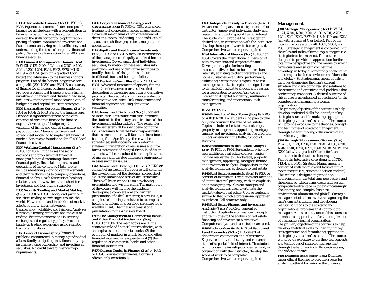**F303 Intermediate Finance (3 cr.)** P: F301; C: F305. Rigorous treatment of core concepts of finance for all students with a concentration in finance. In particular, enables students to develop the skills for portfolio optimization, pricing of equity, examining derivatives and fixed income, analyzing market efficiency, and understanding the basis of corporate financial policy. Serves as a foundation for all 400-level finance electives.

**F304 Financial Management: Honors (3 cr.)** P: W131, C121, X204, K201, and X201, A100, A201, A202, L201, E201, E202, E370, M118, M119, and X220 (all with a grade of C or better) and admission to the business honors program. Part of the honors integrative core, along with J304, M304 and P304. Broad survey of finance for all honors business students. Provides a conceptual framework of a firm's investment, financing, and dividend decisions; includes working capital management, capital budgeting, and capital structure strategies.

**F305 Intermediate Corporate Finance (3 cr.)** P: F301 or F304; C: F303. Part of the finance core. Provides a rigorous treatment of the core concepts of corporate finance for finance majors. Covers capital budgeting, the valuation of firms, and capital structure and payout policies. Makes extensive use of spreadsheet modeling to implement financial models. Serves as a foundation for all 400-level finance electives.

**F307 Working Capital Management (3 cr.)** P: F301 or F304. Emphasizes the set of decisions and problems that financial managers face in determining short-term financial policy, financial diagnostics, and operations of the company. Major topics include identifying working capital elements and their relationships to company operations, financial analysis, cash forecasting, banking relations, cash-flow systems, and short-term investment and borrowing strategies.

**F335 Security Trading and Market Making (3 cr.)** P: F301 or F304. Theory and practice of securities trading at exchanges around the world. How trading and the design of markets affects liquidity, informativeness, transparency, volatility, and fairness. Analyzes alternative trading strategies and the cost of trading. Examines innovations in security exchanges and regulatory policy. Provides hands-on trading experience using realistic trading simulations.

**F365 Personal Finance (3 cr.)** Financial problems encountered in managing individual affairs: family budgeting, installment buying, insurance, home ownership, and investing in securities. No credit toward finance major requirements.

**F402 Corporate Financial Strategy and Governance (3 cr.)** P: F303 or F304. Advanced treatment of corporate financial management. Covers all major areas of corporate financial decisions: capital budgeting, dividends, capital structure, cash-flow projections, mergers, and acquisitions.

**F420 Equity and Fixed Income Investments (3 cr.)** P: F303 or F304. A detailed examination of the management of equity and fixed income investments. Covers analysis of individual securities, formation of these securities into portfolios, and use of derivative securities to modify the return/risk profiles of more traditional stock and bond portfolios.

**F421 Derivative Securities (3 cr.)** P: F303 or F304. Advanced treatment of options, futures, and other derivative securities. Detailed description of the entire spectrum of derivative products. Theoretical and numerical valuation of derivative securities. Risk management and financial engineering using derivative securities.

**F428 Investment Banking (1.5 cr.)** P: consent of instructor. This course will first introduce the students to the history and structure of the investment banking industry. The remainder of the semester will be spent developing the skills necessary to fill the basic responsibility that a summer intern will face at an investment banking firm. Specifically, these will be spreadsheet skills focusing on pro-forma statement preparation of new issues and proforma statements of merged firms. In addition, students will be introduced to tax implications of mergers and the due diligence requirements in assessing new issues.

**F429 Investment Banking II (1.5 cr.)** P: F428 or consent of instructor. This course will continue the development of the students' spreadsheet skills and knowledge base of deal structures. There will be an emphasis on developing presentation and writing skills. The major part of the course will involve the students developing a complete oral and written presentation of a deal: a merger, a new issue, a complex refinancing, a solution to a complex hedging problem, or a portfolio structure for a wealthy client. The final will consist of a presentation to the Advisory Board.

**F446 The Management of Commercial Banks and Other Financial Institutions (3 cr.)** P: F303 or F304. The main topics are (1) the economic role of financial intermediaries, with an emphasis on commercial banks; (2) the evolution of markets in which banks and other financial intermediaries operate; and (3) the regulation of commercial banks and other financial institutions.

**F470 Current Topics in Finance (3 cr.)** P: F303 or F304. Course content varies. Course is offered only occasionally.

### **F490 Independent Study in Finance (1-3 cr.)** P: Consent of department chairperson and of instructor. Supervised individual study and research in student's special field of interest.

The student will propose the investigation desired and, in conjunction with the instructor, develop the scope of work to be completed. Comprehensive written report required.

**F494 International Finance (3 cr.)** P: F303 or F304. Covers the international dimension of both investments and corporate finance. Develops strategies for investing internationally, including hedging exchange rate risk, adjusting to client preferences and home currencies, evaluating performance, estimating a corporation's exposure to real exchange rate risk, strategies to hedge risk or to dynamically adjust to shocks, and reasons for a corporation to hedge. Also covers international capital budgeting, multinational transfer pricing, and international cash management.

#### **REAL ESTATE**

**R300 Principles of Real Estate (3 cr.)** P: A200 or A100/A201. For students who plan to take only one course in the area of real estate. Topics include real estate law, brokerage, property management, appraising, mortgage finance, and investment analysis. No credit for juniors or seniors in the Kelley School of Business.

**R305 Introduction to Real Estate Analysis (3 cr.)** P: F301 or F304. For students who may take additional real estate courses. Topics include real estate law, brokerage, property management, appraising, mortgage finance, and investment analysis. Emphasis is on the analytic techniques applicable to real estate.

**R440 Real Estate Appraisals (3 cr.)** P: R305 or consent of instructor. Techniques and methods of appraising real property, with an emphasis on income property. Covers concepts and analytic techniques used to estimate the market value of real estate. Course content is similar to that which a professional appraiser must learn. Fall semester only.

**R443 Real Estate Finance and Investment Analysis (3 cr.)** P: R305 or consent of instructor. Application of financial concepts and techniques to the analysis of real estate financing and investment alternatives. Computer analysis and case studies are used.

**R490 Independent Study in Real Estate and Land Economics (1-3 cr.)** P: Consent of department chairperson and of instructor. Supervised individual study and research in student's special field of interest. The student will propose the investigation desired and, in conjunction with the instructor, develop the scope of work to be completed. Comprehensive written report required.

### **Management**

**J301 Strategic Management (3 cr.)** P: W131, C121, X204, K201, X201, A100, A201, A202, L201, E201, E202, E370, M118, M119, and X220 (all with a grade of C or better). Part of the integrative core along with F301, M301, and P301. Strategic Management is concerned with the roles and tasks of firms' top managers (i.e., strategic decision-makers). This course is designed to provide an appreciation for the total firm perspective and the means by which firms create and sustain competitive advantage in today's increasingly challenging and complex business environment (domestic and global). Strategic management of a firm involves diagnosing the firm's current situation and developing realistic solutions to the strategic and organizational problems that confront top managers. A desired outcome of this course is an enhanced appreciation for the complexities of managing a formal organization.

The primary objective of the course is to help develop analytical skills for identifying key strategic issues and formulating appropriate strategies given a firm's situation. The course will provide exposure to the theories, concepts, and techniques of strategic management through the text, readings, illustrative cases, and video vignettes.

**J304 Strategic Management: Honors (3 cr.)** P: W131, C121, X204, K201, X201, A100, A201, A202, L201, E201, E202, E370, M118, M119, and X220 (all with a grade of C or better), and admission to the business honors program. Part of the integrative core along with F304, M304, and P304. Strategic Management is concerned with the roles and tasks of firms' top managers (i.e., strategic decision-makers). This course is designed to provide an appreciation for the total firm perspective and the means by which firms create and sustain competitive advantage in today's increasingly challenging and complex business environment (domestic and global). Strategic management of a firm involves diagnosing the firm's current situation and developing realistic solutions to the strategic and organizational problems that confront top managers. A desired outcome of this course is an enhanced appreciation for the complexities of managing a formal organization. The primary objective of the course is to help develop analytical skills for identifying key strategic issues and formulating appropriate

strategies given a firm's situation. The course will provide exposure to the theories, concepts, and techniques of strategic management through the text, readings, illustrative cases, and video vignettes.

**J404 Business and Society (3 cr.)** Examines major ethical theories to provide a basis for analyzing ethical behavior in the business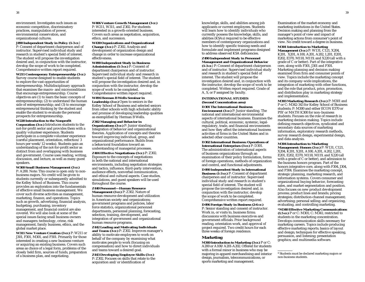**J490 Independent Study in Policy (1-3 cr.**) P: Consent of department chairperson and of instructor. Supervised individual study and research in student's special field of interest. The student will propose the investigation desired and, in conjunction with the instructor, develop the scope of work to be completed. Comprehensive written report required.

**W211 Contemporary Entrepreneurship (3 cr.)** Survey course designed to enable students to explore the vast opportunities of entrepreneurship. Multidisciplinary approach that examines the macro- and microconditions that encourage entrepreneurship. Course objectives are (1) to learn the basic concepts of entrepreneurship; (2) to understand the human side of entrepreneurship; and (3) to encourage entrepreneurial thinking by the student and enable the student to evaluate the personal prospects for entrepreneurship.

### **W220 Introduction to the Nonprofit**

**Corporation (3 cr.)** Introduces students to the not-for-profit sector and provides them with a quality volunteer experience. Students participate in a complete volunteer experience (careful placement, orientation, reflection/3 hours per week/12 weeks). Students gain an understanding of the not-for-profit sector as distinct from and overlapping with business and government. Course uses reading, writing, discussion, and lecture, as well as many guest speakers.

#### **W300 Small Business Management (3 cr.)** P: A200. Note: This course is open only to nonbusiness majors. No credit will be given to students currently or subsequently admitted to the Kelley School of Business. This course provides an exploration into the fundamentals of effective small business management. We cover such diverse activities as management, marketing, finance, and operations. Topics such as growth, advertising, financial analysis, budgeting, purchasing, inventory management, and financial control are also covered. We will also look at some of the special issues facing small business owners and managers: technology, crime, risk management, family business, ethics, and the global market place.

**W311 New Venture Creation (3 cr.)** P: W211 or J301, F301, M301, and P301. Primarily for those interested in creating a new business venture or acquiring an existing business. Covers such areas as choice of a legal form, problems of the closely held firm, sources of funds, preparation of a business plan, and negotiating.

**W406 Venture Growth Management (3 cr.)** P: W211, W311, and Z302. For students interested in a growth-oriented business. Covers such areas as negotiation, acquisition, ethics, and succession.

**W430 Organizations and Organizational Change (3 cr.)** P: Z302. Analysis and development of organization design and change in order to increase organizational effectiveness.

#### **W490 Independent Study in Business Administration (1-3 cr.)** P: Consent of department chairperson and of instructor. Supervised individual study and research in student's special field of interest. The student will propose the investigation desired and, in conjunction with the instructor, develop the scope of work to be completed. Comprehensive written report required.

**W494 Herman B Wells Seminar in Leadership (3 cr.)** Open to seniors in the Kelley School of Business and selected seniors from other schools with high scholastic ability and promise of developing leadership qualities as exemplified by Herman B Wells.

**Z302 Managing and Behavior in Organizations (3 cr.)** P: Junior standing. Integration of behavior and organizational theories. Application of concepts and theories toward improving individual, group, and organizational performance. Builds from a behavioral foundation toward an understanding of managerial processes.

**Z404 Effective Negotiations (3 cr.)** P: Z302. Exposure to the concepts of negotiations in both the national and international environments, including negotiation strategies and tactics, influence, third-party intervention, audience effects, nonverbal communication, and ethical and cultural aspects. Case studies, simulations, and guest speakers will be used throughout the course.

**Z440 Personnel—Human Resource Management (3 cr.)** P: Z302. Nature of human resource development and utilization in American society and organizations; government programs and policies, labor force statistics, organizational personnel departments, personnel planning, forecasting, selection, training, development, and integration of government and organizational human resource programs.

**Z442 Leading and Motivating Individuals and Teams (3 cr.)** P: Z302. Improves manager's ability to motivate employees to work on behalf of the company by examining what motivates people to work (focusing on compensation) and how to direct individuals and teams toward a desired goal.

**Z443 Developing Employee Skills (3 cr.)**  P: Z302. Focuses on skills that relate to the acquisition and/or identification of

knowledge, skills, and abilities among job applicants or current employees. Students will learn how to identify individuals who currently possess the knowledge, skills, and abilities (KSAs) required to be effective members of contemporary organizations and how to identify specific training needs and formulate and implement programs designed to address observed KSA deficiencies.

### **Z490 Independent Study in Personnel**

**Management and Organizational Behavior (1-3 cr.**) P: Consent of department chairperson and of instructor. Supervised individual study and research in student's special field of interest. The student will propose the investigation desired and, in conjunction with the instructor, develop the scope of work to be completed. Written report required. Grade of A, S, or F assigned by faculty.

### **INTERNATIONAL STUDIES (Second Concentration area)**

#### **D301 The International Business**

**Environment (3 cr.)** P: Junior standing. The national and international environmental aspects of international business. Examines the cultural, political, economic, systemic, legalregulatory, trade, and financial environments and how they affect the international business activities of firms in the United States and in selected other countries.

**D302 International Business: Operations of International Enterprises (3 cr.)** P: D301. The administration of international aspects of business organizations through an examination of their policy formulation, forms of foreign operations, methods of organization and control, and functional adjustments. **D490 Independent Study in International Business (1-3 cr.)** P: Consent of department chairperson and of instructor. Supervised individual study and research in student's special field of interest. The student will propose the investigation desired and, in conjunction with the instructor, develop the scope of work to be completed. Comprehensive written report required. **D496 Foreign Study in Business (2-6 cr.)** P: Senior standing and consent of instructor. Work in, or visits to, business firms; discussions with business executives and government officials. Prior background reading, orientation work, and approval of project required. Two credit hours for each three weeks of foreign residence.

### **Marketing**

**M300 Introduction to Marketing (3 cr.)** P or C: A200 or A100/A201-A202. Offered for students with a formal minor in business who may be majoring in apparel merchandising and interior design, journalism, telecommunications, or sports marketing and management.

Examination of the market economy and marketing institutions in the United States. Decision making and planning from the manager's point of view and impact of marketing actions from consumer's point of view. No credit toward a degree in business.

#### **M301 Introduction to Marketing Management (3 cr.)** P: W131, C121, X204, K201, X201, A100, A201, A202, L201, E201, E202, E370, M118, M119, and X220 (all with a grade of C or better). Part of the integrative core, along with F301, J301 and P301. Marketing planning and decision making examined from firm and consumer points of view. Topics include the marketing concept

and its company-wide implications, the integration of marketing with other functions, and the role that product, price, promotion, and distribution play in marketing strategy and implementation.

**M303 Marketing Research (3 cr.)** P: M301 and P or C: M342-343 for Kelley School of Business students; P: M300 and either ECON E370 or PSY or MATH K300 for non–business students. Focuses on the role of research in marketing decision making. Topics include defining research objectives, syndicated and secondary data sources of marketing information, exploratory research methods, survey research design, experimental design, and data analysis.

### **M304 Introduction to Marketing**

**Management: Honors (3 cr.)** P: W131, C121, X204, K201, X201, A100, A201, A202, L201, E201, E202, E370, M118, M119, and X220 (all with a grade of C or better), and admission to the business honors program. Part of the honors integrative core, along with F304, J304, and P304. Examines the marketing concept, strategic planning, marketing research, and information systems. Covers consumer and organizational buying behavior, forecasting sales, and market segmentation and position. Also focuses on new product development process; product lines and brands; pricing strategies; distribution-channel management; advertising; personal selling; and organizing, evaluating, and controlling marketing.

**\*M340 Effective Marketing Communications (1.5 cr.)** P or C: M301; C: M341; restricted to students in the marketing concentration. Develops communication skills necessary for marketing careers. Topics include producing effective marketing reports; basics of layout and design; techniques for effective speaking, persuasion, and listening; presentation graphics; and multimedia software.

\* Students must be declared marketing majors or non-business students.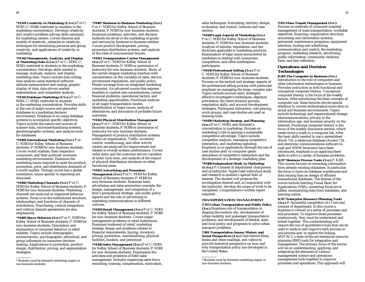**\*M341 Creativity in Marketing (1.5 cr.)** P or C: M301; C: M340; restricted to students in the marketing concentration. Develops creativity and creative problem-solving skills necessary for marketing careers. Covers theories and models of creativity, obstacles to creativity, techniques for stimulating personal and group creativity, and applications of creativity in marketing.

**\*M342 Management, Analysis, and Display of Marketing Data (1.5 cr.)** P or C: M301; C: M343; restricted to students in the marketing concentration. Develops skills needed to manage, evaluate, analyze, and display marketing data. Topics include data coding, data analysis using statistical software, attitude measurement and scaling, graphic display of data, data-driven market segmentation, and competitor analysis.

**\*M343 Database Marketing (1.5 cr.)** P or C: M301; C: M342; restricted to students in the marketing concentration. Provides skills in the use of single-source and geocoded databases in a marketing decision environment. Emphasis is on using database systems to accomplish specific objectives. Topics include the nature and sources of scanner data, micromerchandising systems, geodemographic systems, and analysis tools for databases.

**\*M401 International Marketing (3 cr.)** P or C: M303 for Kelley School of Business students; P: M300 for non–business students. Covers world markets, their respective consumers, and their political/economic marketing environments. Examines the marketing issues required to meet the product, promotion, price, and distribution demands of a world market. Though course has a global orientation, issues specific to exporting are discussed.

**\*M402 Marketing Channels (3 cr.)** P or C: M303 for Kelley School of Business students; P: M300 for non–business students. Marketing channels are analyzed as organized behavior systems. Focus is on the institutional structure, relationships, and functions of channels of distribution. Franchising, vertical integration, and vertical channel agreements are also emphasized.

**\*M405 Buyer Behavior (3 cr.)** P or C: M303 for Kelley School of Business students; P: M300 for non–business students. Description and explanation of consumer behavior in retail markets. Topics include demographic, socioeconomic, psychographic, attitudinal, and group influences on consumer decision making. Applications to promotion, product design, distribution, pricing, and segmentation strategies.

**\*M407 Business to Business Marketing (3 cr.)** P or C: M303 for Kelley School of Business students; P: M300 for non–business students. Examines problems, activities, and decision methods involved in the marketing of goods and services by business-to-business entities. Covers product development, pricing, promotion distribution systems, and analysis of the roles of nonconsumer buyers.

**\*M411 Transportation Carrier Management (3 cr.)** P or C: M303 for Kelley School of Business students; P: M300 or permission of instructor for non–business students. Study of the carrier-shipper marketing interface with concentration on the variables of rates, service, government regulations, and public policy. Model coverage from an integrated marketing viewpoint. An advanced course that exposes students to market-rate considerations, carrier financial problems, operational factors, and marketing opportunities. Functional analysis of all major transportation modes. Identification of major issues, analysis of alternatives, and discussion of probable future outcomes.

**\*M412 Physical Distribution Management (3 cr.)** P or C: M303 for Kelley School of Business students; P: M300 or permission of instructor for non–business students. Management of product distribution systems within an organization. Traffic, inventory control, warehousing, and other activity centers are analyzed for improvement and related to overall systems performance. Covers order entry and the customer service variables of order cycle time, and analysis of the impact of physical distribution decisions on other functional areas.

**\*M415 Advertising and Promotion Management (3 cr.)** P or C: M303 for Kelley School of Business students; P: M300 for non–business students. Examines basic advertising and sales-promotion concepts; the design, management, and integration of a firm's promotional strategy; and public policy aspects and the role of advertising in marketing communications in different cultures.

**\*M419 Retail Management (3 cr.)** P or C: M303 for Kelley School of Business students; P: M300 for non–business students. Covers major management problems in retail institutions. Examines treatment of retail/marketing strategy design and problems related to financial requirements, buying, inventory, pricing, promotion, merchandising, physical facilities, location, and personnel.

**\*M426 Sales Management (3 cr.)** P or C: M303 for Kelley School of Business students; P: M300 for non–business students. Emphasizes the activities and problems of field-sales management. Includes organizing sales force, recruiting, training, compensation, motivation,

sales techniques, forecasting, territory design, evaluation, and control. Lectures and case studies.

**\*M429 Legal Aspects of Marketing (3 cr.)**  P or C: M303 for Kelley School of Business students; P: M300 for non–business students. Analysis of statutes, regulations, and law doctrines applicable to marketing practices. Examination of legal issues encountered by marketers in dealing with consumers, competitors, and other marketplace participants.

**\*M430 Professional Selling (3 cr.)** P or C: M303 for Kelley School of Business students; P: M300 for non–business students. Focuses on the tactical and strategic aspects of the professional selling process with particular emphasis on managing the large, complex sale. Topics include account entry strategies, effective investigative techniques, objection prevention, the client decision process, negotiation skills, and account development strategies. Participant interaction, role playing, work groups, and case studies are used as learning tools.

**\*M450 Marketing Strategy and Planning (3 cr.)** P or C: M303, and declared a concentration in marketing. Focuses on marketing's role in gaining a sustainable competitive advantage. Topics include competitor analysis, managing competitive interaction, and marketing signaling. Emphasis is on applications through the use of case studies and/or computer game simulation of competitive interaction and the development of a strategic marketing plan. **\*M490 Independent Study in Marketing (1-3 cr.)** P: Consent of department chairperson and of instructor. Supervised individual study and research in student's special field of interest. The student will propose the investigation desired and, in conjunction with the instructor, develop the scope of work to be completed. Comprehensive written report required.

### **TRANSPORTATION MANAGEMENT**

**T315 Urban Transportation and Public Policy (3 cr.)** Examines role of transportation in shaping the modern city; development of urban mobility and passenger transportation problems; and development of federal, state, and local policy and programs to solve urban transport problems.

**T401 Transportation Issues: History and Social Perspectives (1 cr.)** Uses feature films, books and other readings, and videos to provide historical perspective on how and why transportation policy has developed in the United States.

**T415 Mass Transit Management (3 cr.)**

Focuses on methods of consumer-oriented management of mass transportation: workable objectives, financing, organization structure, accounting and information systems, personnel, maintenance programs, equipment selection, routing and scheduling, communication and control, the marketing program, marketing research, advertising, public information, community relations, fares, and fare collection.

### **Operations and Decision Technologies**

**K201 The Computer in Business (3 cr.)** Introduction to the role of computers and other information technologies in business. Provides instruction in both functional and conceptual computer literacy. Conceptual computer literacy is the focus of the weekly lecture. After introducing the basic concepts of computer use, these lectures devote special attention to current technological innovation in social and business environments. Topics include technology and organizational change, telecommunications, privacy in the information age, and business security on the Internet. Functional computer literacy is the focus of the weekly discussion section, which meets twice a week in a computer lab. After the basic skills needed to use a spreadsheet (Excel 7.0), a relational database (Access 7.0), and electronic communications software (email and WWW browsers) have been introduced, emphasis is on applying these skills to solve a variety of business problems.

**K217 Business Process Tools (3 cr.)** P: K201. This course focuses on extracting information from already-existing databases. In particular, the focus is more on database warehouses and data mining than on design of efficient transactional databases. The themes of the course include learning Visual Basic for Applications (VBA), mastering Excel pivot tables, summarizing data from databases, and learning online.

**K317 Enterprise Resource Planning Tools (3 cr.)** P: Successful completion of I-Core and consent of department. In this course a business is viewed as a series of processes and sub-processes. To improve these processes continuously, they must be understood and linked together. This understanding will require the use of quantitative tools that can be used to analyze and improve each process or sub-process and, to exploit the linking, SAP/R/3, a state-of-the-art enterprise resource planning (ERP) tools for integration and management. The primary focus of the course will be on understanding, applying, and integrating the elements of various management science and operations management tools together to improve processes and operations. This approach will

<sup>\*</sup> Students must be declared marketing majors or non-business students.

<sup>\*</sup> Students must be declared marketing majors or non-business students.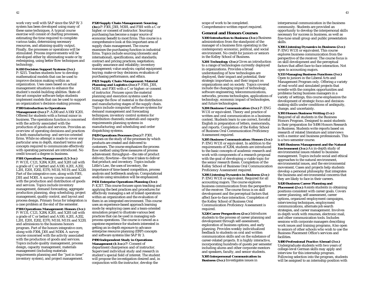work very well with SAP since the SAP R/3 system has been developed using many of these same techniques. A typical course exercise will consist of charting processes, estimating the time required to complete various tasks, determining necessary resources, and attaining quality output. Finally, the processes or operations will be stimulated. Process improvements will be developed either by eliminating waste or by redesigning, using better flow techniques and technology.

#### **K410 Decision Support Systems (3 cr.)**

P: S215. Teaches students how to develop mathematical models that can be used to improve decision making within an organization. Uses cases based on actual management situations to enhance the student's model-building abilities. State-ofthe-art computer software helps students implement models that can be used to support an organization's decision-making process.

#### **P300 Introduction to Operations**

**Management (3 cr.)** P: A200 and A100/K201. Offered for students with a formal minor in business. The operations function is concerned with the activity associated with the production of goods and services. Provides an overview of operating decisions and practices in both manufacturing- and service-oriented firms. While no attempt is made to cover any particular area in depth, standard terms and concepts required to communicate effectively with operating personnel are introduced. No credit toward a degree in business.

#### **P301 Operations Management (1.5-3 cr.)**

P: W131, C121, X204, K201, and X201 (all with a grade of C or better) and A100, A201, A202, L201, E201, E202, E370, M118, M119, and X220. Part of the integrative core, along with F301, J301 and M301. A survey course concerned with the production and distribution of goods and services. Topics include inventory management, demand forecasting, aggregate production planning, shop scheduling, project management, quality control, and layout and process design. Primary focus for integration is a case problem at the end of the semester.

**P304 Operations Management: Honors (3 cr.)** P: W131, C121, X204, K201, and X201 (all with a grade of C or better) and A100, A201, A202, L201, E201, E202, E370, M118, M119, and X220, and admissions to the business honors program. Part of the honors integrative core, along with F304, J301 and M304. A survey course concerned with the activity associated with the production of goods and services. Topics include quality management, process design, capacity management, materials management (including materials requirements planning and the ''just in time'' inventory system), and project management.

**P320 Supply Chain Management: Sourcing (3cr.)** P: F301, J301, M301, and P301 with a C or higher; or consent of instructor. Sourcing/ purchasing has become a major source of economic benefit to most firms. This course is a comprehensive look at this important area of supply chain management. The course examines the purchasing function in industrial firms. Topics include sourcing (domestic and international), specifications, and standards; contract and pricing practices; negotiation; quality assurance and reliability; inventory management; value analysis; capital equipment buying; make-or-buy decisions; evaluation of purchasing performance, and ethics. **P421 Supply Chain Management: Material**

**Planning and Logistics (3 cr.)** P: F301, J301, M301, and P301 with a C or higher; or consent of instructor. Focuses upon the material planning and execution systems used to manage the flow of material in the distribution and manufacturing stages of the supply chain. Topics include computer/software systems for demand management and forecasting techniques; inventory control systems for distribution channels; materials and capacity requirements planning systems in manufacturing; and scheduling and order dispatching systems.

**P429 Operations Processes (3 cr.)** P: P301. Focuses on the study of the processes by which products are created and delivered to customers. The course emphasizes the process flow method using three measures of process achievement: throughput—the rate of product delivery; flowtime—the time it takes to deliver that product; and inventory. Topics include Little's Law, the uses of inventory, the importance of time-based competition, process analysis and bottleneck analysis. Computational analysis using simulation will be emphasized.

#### **P431 Enterprise Operations Planning (3 cr.)**

P: K317. This course focuses upon teaching and applying the best practices and procedures for effectively managing a set of linked operations within an organization and the evaluation of them in an integrated environment. This course uses an experience-based approach learning mode by employing cases and a team-oriented simulation project to illustrate various best practices that can be used in managing subprocess operations. The course is viewed as a capstone experience for students interested in getting an in-depth exposure to advance enterprise resource planning (ERP) concepts and software systems like SAP R/3.

**P490 Independent Study in Operations Management (1-3 cr.)** P: Consent of department chairperson and of instructor. Supervised individual study and research in student's special field of interest. The student will propose the investigation desired and, in conjunction with the instructor, develop the

scope of work to be completed. Comprehensive written report required.

### **General and Honors Courses**

**X100 Introduction to Business (3 cr.)** Business administration from the standpoint of the manager of a business firm operating in the contemporary economic, political, and social environment. No credit for juniors or seniors in the Kelley School of Business.

**X201 Technology (3 cr.)** Gives an introduction to a range of technologies currently deployed in organizations. Provides a broad understanding of how technologies are deployed, their impact and potential, their strategic importance, and their impact on organizations and on society. Topics covered include the changing impact of technology, software engineering, telecommunications, networks, process technologies, applications of technology, economic impact of technologies, and future technologies.

**X204 Business Communication (3 cr.)** P: ENG W131 or equivalent. Theory and practice of written and oral communication in a business context. Students learn to use correct, forceful English in preparation of letters, memoranda, and reports. Completion of the Kelley School of Business Oral Communication Proficiency Assessment required.

**X205 Business Communication: Honors (3 cr.)** P: ENG W131 or equivalent. In addition to the requirements of X204, students are introduced to the basic concepts of academic research and work with components of a research proposal with the goal of developing a viable topic for the senior research thesis. Completion of the Kelley School of Business Oral Communication Proficiency Assessment required.

**X206 Listening Dynamics in Business (2 cr.)** P: ENG W131 or equivalent. Required for all accounting majors. The course explores business communication from the perspective of the receiver. The course focus is on skill development and the perceptual factors that affect face-to-face interaction. Completion of the Kelley School of Business Oral Communication Proficiency Assessment is required.

**X220 Career Perspectives (2 cr.)** Introduces students to the process of career planning and development through self-assessment, exploration of business options, and early planning. Provides weekly individualized feedback to students on oral and written communication skills and on the substance of career-related projects. It is highly interactive, incorporating hundreds of guests per semester including alums and other corporate mentors and speakers, faculty, and senior students.

**X305 Interpersonal Communication in Business (3 cr.)** Investigates issues in

interpersonal communication in the business community. Students are provided an opportunity to develop the interpersonal skills necessary for success in business, as well as fine-tune small group and public presentation skills.

**X306 Listening Dynamics in Business (2 cr.)** P: ENG W131 or equivalent. This course explores business communication from the perspective of the receiver. The course focus is on skill development and the perceptual factors that affect face-to-face interaction. Not open to accounting majors.

**X333 Managing Business Functions (3 cr.)** Open to juniors in the Liberal Arts and Management Program only. Offering a variety of real-world and simulated projects that wrestle with the complex opportunities and problems facing business managers in a variety of settings, this course emphasizes the development of strategic focus and decisionmaking skills under conditions of ambiguity, change, and uncertainty.

**X393 Honors Business Writing (1 cr.)** Required of all students in the Business Honors Program. Designed to assist students in their preparation for X496 Honors Research in Business. Students write reports based on research of related literature and interviews with a mentor and business professionals. This is a two-semester course.

**X405 Business Management and the Natural Environment (3 cr.)** An in-depth study of environmental issues related to business management. Topics include social and ethical approaches to the natural environment, environmental issues, and the environmental movement. Cases and projects help students develop a personal philosophy that integrates the business and environmental concerns that they are likely to face in their careers.

#### **X420 Business Career Planning and**

**Placement (2 cr.)** Assists students in obtaining positions consistent with career goals. Covers career planning, self-assessment, career options, organized employment campaigns, interviewing techniques, employment communications, alternate job search strategies, and career management. Involves in-depth work with resumes, electronic mail, and other communication tools. Includes sessions with corporate managers describing work issues and training programs. Also open to seniors of other schools who wish to use the Business Placement Office's services and facilities.

**X480 Professional Practice Abroad (3 cr.)** Undergraduate students with two years of college-level German skills may apply and interview for this internship program. Following selection into the program, students will be assigned to an internship position with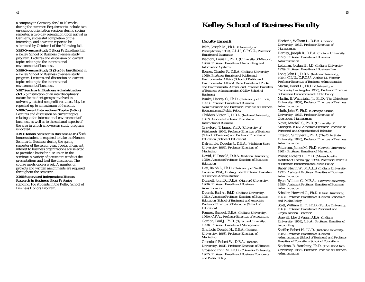on-campus orientation sessions during spring semester, a two-day orientation upon arrival in Germany, successful completion of the internship, and a written report to be submitted by October 1 of the following fall.

**X485 Overseas Study I (3 cr.)** P: Enrollment in a Kelley School of Business overseas study program. Lectures and discussion on current topics relating to the international environment of business.

**X486 Overseas Study II (3 cr.)** P: Enrollment in a Kelley School of Business overseas study program. Lectures and discussion on current topics relating to the international environment of business.

**X487 Seminar in Business Administration** 

**(1-3 cr.)** Instruction of an interdisciplinary nature for student groups involved in university-related nonprofit ventures. May be repeated up to a maximum of 6 credits.

**X488 Current International Topics (1-6 cr.)** Lectures and discussion on current topics relating to the international environment of business, as well as to the cultural aspects of the area in which an overseas study program is located.

**X493 Honors Seminar in Business (3 cr.)** Each honors student is required to take the Honors Seminar in Business during the spring semester of the senior year. Topics of current interest to business organizations are selected to provide a basis for discussion in the seminar. A variety of presenters conduct the presentations and lead the discussion. The course meets once a week. A number of projects and written assignments are required throughout the semester.

**X496 Supervised Independent Honors Research in Business (3 cr.)** P: Senior standing. For students in the Kelley School of Business Honors Program.

# a company in Germany for 8 to 10 weeks during the summer. Requirements include two during the summer. Requirements include two during the summer. Requirements include two

### **Faculty Emeriti**

Belth, Joseph M., Ph.D. *(University of Pennsylvania, 1961),* C.L.U., C.P.C.U., *Professor Emeritus of Insurance*

Biagioni, Louis F., Ph.D. *(University of Missouri, 1964), Professor Emeritus of Accounting and Information Systems*

Bonser, Charles F., D.B.A. *(Indiana University, 1965), Professor Emeritus of Public and Environmental Affairs (School of Public and Environmental Affairs), Dean Emeritus of Public and Environmental Affairs, and Professor Emeritus of Business Administration (Kelley School of Business)*

Bunke, Harvey C., Ph.D. *(University of Illinois, 1951), Professor Emeritus of Business Administration and Professor Emeritus of Business Economics and Public Policy*

Childers, Victor E., D.B.A. *(Indiana University, 1967), Associate Professor Emeritus of International Business*

Crawford, T. James, Ph.D. *(University of Pittsburgh, 1956), Professor Emeritus of Business (School of Business) and Professor Emeritus of Education (School of Education)*

Dalrymple, Douglas J., D.B.A. *(Michigan State University, 1964), Professor Emeritus of Marketing*

David, H. Donald, D.B.A. *(Indiana University, 1959), Associate Professor Emeritus of Business Education*

Day, Ralph L., Ph.D. *(University of North Carolina, 1961), Distinguished Professor Emeritus of Business Administration*

Donnell, John D., D.B.A. *(Harvard University, 1966), Professor Emeritus of Business Administration*

Dvorak, Earl A., Ed.D. *(Indiana University, 1951), Associate Professor Emeritus of Business Education (School of Business) and Associate Professor Emeritus of Education (School of Education)*

Frumer, Samuel, D.B.A. *(Indiana University, 1960),* C.P.A., *Professor Emeritus of Accounting*

Gordon, Paul J., Ph.D. *(Syracuse University, 1958), Professor Emeritus of Management* Granbois, Donald H., D.B.A. *(Indiana University, 1963), Professor Emeritus of Marketing*

Greenleaf, Robert W., D.B.A. *(Indiana University, 1961), Professor Emeritus of Finance* Grossack, Irvin M., Ph.D. *(Columbia University, 1962), Professor Emeritus of Business Economics and Public Policy*

Haeberle, William L., D.B.A. *(Indiana University, 1952), Professor Emeritus of Management*

Hartley, Joseph R., D.B.A. *(Indiana University, 1957), Professor Emeritus of Business Administration*

Leibman, Jordan H., J.D. *(Indiana University, 1979), Professor Emeritus of Business Law*

Long, John D., D.B.A. *(Indiana University, 1954),* C.L.U., C.P.C.U., *Arthur M. Weimer Professor Emeritus of Business Administration*  Martin, David D., Ph.D. *(University of California, Los Angeles, 1955), Professor Emeritus of Business Economics and Public Policy*

Martin, E. Wainright., Jr., Ph.D. *(The Ohio State University, 1952), Professor Emeritus of Business Administration*

Muth, John F., Ph.D. *(Carnegie-Mellon University, 1962), Professor Emeritus of Operations Management*

Novit, Mitchell S., Ph.D. *(University of Michigan, 1966), Associate Professor Emeritus of*

*Personnel and Organizational Behavior*

Otteson, Schuyler F., Ph.D. *(The Ohio State University, 1948), Professor Emeritus of Business Administration*

Patterson, James M., Ph.D. *(Cornell University, 1961), Professor Emeritus of Marketing*

Pfister, Richard L., Ph.D. *(Massachusetts Institute of Technology, 1959), Professor Emeritus of Business Economics and Public Policy*

Raber, Nevin W., M.A.L.S. *(Indiana University, 1952), Assistant Professor Emeritus of Business Administration*

Ryan, William G., M.B.A. *(Harvard University, 1956), Assistant Professor Emeritus of Business Administration*

Schaller, Howard G., Ph.D. *(Duke University, 1953), Professor Emeritus of Business Economics and Public Policy*

Scott, William E., Jr., Ph.D. *(Purdue University, 1963), Professor Emeritus of Personnel and Organizational Behavior*

Seawell, Lloyd Vann, D.B.A. *(Indiana University, 1958),* C.P.A., *Professor Emeritus of Accounting*

Shaffer, Robert H., LL.D. *(Indiana University, 1985), Professor Emeritus of Business Administration (School of Business) and Professor Emeritus of Education (School of Education)*

Stockton, R. Stansbury, Ph.D. *(The Ohio State University, 1956), Professor Emeritus of Business Administration*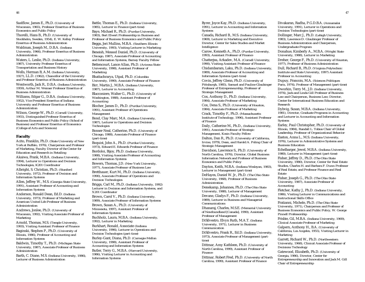Suelflow, James E., Ph.D. *(University of Wisconsin, 1965), Professor Emeritus of Business Economics and Public Policy*

Thorelli, Hans B., Ph.D. *(University of Stockholm, Sweden, 1954), E. W. Kelley Professor Emeritus of Business Administration* Waldman, Joseph M., D.B.A. *(Indiana University, 1966), Professor Emeritus of Business Administration*

Waters, L. Leslie, Ph.D. *(Indiana University, 1987), University Professor Emeritus of Transportation and Business History*

Wells, Herman B, A.M. *(Indiana University, 1927),* LL.D. *(1962), Chancellor of the University and Professor Emeritus of Business Administration*

Wentworth, Jack R., D.B.A. *(Indiana University, 1959), Arthur M. Weimer Professor Emeritus of Business Administration*

Williams, Edgar G., D.B.A. *(Indiana University, 1952), Vice President Emeritus of Indiana University and Professor Emeritus of Business Administration*

Wilson, George W., Ph.D. *(Cornell University, 1955), Distinguished Professor Emeritus of Business Economics and Public Policy (School of Business) and Professor Emeritus of Economics (College of Arts and Sciences)*

#### **Faculty**

Acito, Franklin, Ph.D. *(State University of New York at Buffalo, 1976), Chairperson and Professor of Marketing, Faculty Director of the Center for Education and Research in Retailing* 

Akaiwa, Frank, M.B.A. *(Indiana University, 1994), Lecturer in Operations and Decision Technologies, K201 Coordinator*

Albright, S. Christian, Ph.D. *(Stanford University, 1972), Professor of Decision and Information Systems*

Allen, Jeffrey W., M.S. *(Georgia State University, 1991), Assistant Professor of Accounting and Information Systems*

Anderson, Ronald Dean, Ed.D. *(Indiana University, 1973), Professor of Marketing and American United Life Professor of Business Administration*

Andrews, Jonlee, Ph.D. *(University of Wisconsin, 1992), Visiting Associate Professor of Marketing*

Arnold, Thomas, M.S. *(Temple University, 1993), Visiting Assistant Professor of Finance*

Baginski, Stephen P., Ph.D. *(University of Illinois, 1986), Professor of Accounting and Information Systems*

Baldwin, Timothy T., Ph.D. *(Michigan State University, 1987), Associate Professor of Business Administration*

Barth, C. Diane, M.S. *(Indiana University, 1986), Lecturer of Business Adminstration*

Battle, Thomas E., Ph.D. *(Indiana University, 1985), Lecturer in Finance (part-time)* Baye, Michael R., Ph.D. *(Purdue University, 1983), Bert Elwert Professorship in Business and Professor of Business Economics and Public Policy* Beggs, Jeri Mullins, M.B.A. *(Southern Illinois University, 1993), Visiting Lecturer in Marketing*  Beneish, Messod Daniel, Ph.D. *(University of Chicago, 1987), Associate Professor of Accounting and Information Systems, Barney Faculty Fellow* Bettencourt, Lance Allan, Ph.D. *(Arizona State University, 1998), Assistant Professor of Marketing*

Bhattachrarya, Utpal, Ph.D. *(Columbia University, 1990), Associate Professor of Finance* Birr, Martin J., M.B.A. *(Indiana University,*

*1987), Lecturer in Accounting* Blacconiere, Walter G., Ph.D. *(University of*

*Washington, 1988), Assistant Professor of Accounting*

Blocher, James D., Ph.D. *(Purdue University, 1991), Assistant Professor of Operations Management*

Bond, Clay Marc, M.A. *(Indiana University, 1987), Lecturer in Operations and Decision Technologies*

Bonser-Neal, Catherine, Ph.D. *(University of Chicago, 1988), Associate Professor of Finance (part-time)*

Boquist, John A., Ph.D. *(Purdue University, 1973), Edward E. Edwards Professor of Finance*

Bordoloi, Bijoy, Ph.D. *(Indiana University, 1988), Visiting Associate Professor of Accounting and Information Systems*

Bowers, Thomas, J.D. *(New York University, 1977), Associate Professor of Business Law*

Bretthauer, Kurt M., Ph.D. *(Indiana University, 1990), Associate Professor of Operations and Decision Technologies*

Briggs, Carl M., Ph.D. *(Indiana University, 1992) Lecturer in Decision and Information Systems, and X201 Coordinator*

Brown, Carol V., Ph.D. *(Indiana University, 1989), Associate Professor of Information Systems* Brown, Susan A., Ph.D. *(University of Minnesota, 1997), Assistant Professor of Information Systems*

Buchholz, Laura, M.B.A. *(Indiana University, 1992), Lecturer in Marketing*

Burkhart, Ronald, Associate *(Indiana University, 1996), Lecturer in Operations and Decision Technologies (part-time)* Burley-Gant, Diana, Ph.D*. (Carnegie-Mellon*

*University, 1998), Assistant Professor of Accounting and Information Systems*

Butler, Terry G., M.B.A. *(Harvard University, 1986), Visiting Lecturer in Accounting and Information Systems*

Byrer, Joyce Kay, Ph.D. *(Indiana University, 1991), Lecturer in Accounting and Information Systems*

Canada, Richard B., M.S. *(Indiana University, 1969), Lecturer in Marketing and Executive Director, Center for Sales Studies and Market Intelligence*

Carow, Kenneth A., Ph.D. *(Purdue University, 1993), Assistant Professor of Finance*

Chatterjea, Arkadev, M.A. *(Cornell University, 1990), Visiting Assistant Professor of Finance* Chidambaram, Laku, Ph.D. *(Indiana University, 1989), Associate Professor of Accounting and Information Systems (part-time)*

Covin, Jeffrey Glenn, Ph.D. *(University of Pittsburgh, 1985), Samuel and Pauline Glaubinger Professor of Entrepreneurship, Professor of Strategic Management*

Cox, Anthony D., Ph.D. *(Indiana University, 1984), Associate Professor of Marketing*  Cox, Dena S., Ph.D. *(University of Houston,*

*1984), Associate Professor of Marketing*

Crack, Timothy F., Ph.D. *(Massachusetts Institute of Technology, 1996), Assistant Professor of Finance*

Daily, Catherine M., Ph.D., *(Indiana University, 1991), Associate Professor of Strategic Management, Kosin Faculty Fellow*

Dalton, Dan R., Ph.D. *(University of California, Irvine, 1979), Dean, and Harold A. Poling Chair of Strategic Management*

Davidson, Lawrence S., Ph.D. *(University of North Carolina, 1976), Director, Global Business Information Network and Professor of Business Economics and Public Policy*

Dayton, Keith, M.B.A. *(Indiana Wesleyan, 1983), Lecturer in Management (part-time)* DeHayes, Daniel W. Jr., Ph.D. *(The Ohio State University, 1968), Professor of Business Administration* 

Denekamp, Johannes, Ph.D. *(The Ohio State University, 1988), Lecturer of Management*

Devane, Gladys F., Ph.D. *(Indiana University, 1989), Lecturer in Business and Managerial Communications*

Dhanaraj, Charles, M.S.E. *(Memorial University of Newfoundland [Canada], 1990), Assistant Professor of Management*

DiSilvestro, Elvyn Ruth, M.A.T. *(Indiana University, 1971), Lecturer in Business Communication*

DiSilvestro, Frank R., Ed.D. *(Indiana University, 1973), Associate Professor of Management (parttime)*

Dittmar, Amy Kathleen, Ph.D. *(University of North Carolina, 1999), Assistant Professor of Finance*

Dittmar, Robert Fred, Ph.D. *(University of North Carolina, 1999), Assistant Professor of Finance*

Divakaran, Radha, P.G.D.B.A. *(Annamalai University, 1991), Lecturer in Operations and Decision Technologies (part-time)*

Dollinger, Marc J., Ph.D. *(Lehigh University, 1983), Lawrence D. Glaubinger Professor of Business Administration and Chairperson, Undergraduate Program*

Donahue, Kimberly A., M.B.A. *(Wright State University, 1988), Lecturer in Marketing*

Dreher, George F., Ph.D. *(University of Houston, 1977), Professor of Business Administration* Dull, Richard B., Ph.D. *(Virginia Polytechnic Institute and State University, 1997) Assistant Professor in Accounting*

Dupuy, Francois, M.A. *(Sciences Politiques Paris, 1974), Professor of Management (part-time)* Dworkin, Terry M., J.D. *(Indiana University, 1974), Jack and Linda Gill Professor of Business Law and Chairperson, Business Law; Director, Center for International Business Education and Research*

Dybvig, Susan, M.B.A. *(Indiana University, 1981), Director, Graduate Programs in Accounting and Lecturer in Accounting and Information Systems*

Earley, Paul Christopher, Ph.D. *(University of Illinois, 1984), Randall L. Tobias Chair of Global Leadership, Professor of Organizational Behavior*

Easton, Anna L., M.S. *(Indiana University, 1976), Lecturer in Administrative Systems and Business Education*

Echelbarger, Jewel, M.B.A. *(Indiana University, 1980), Lecturer in Management (part-time)* Fisher, Jeffrey D., Ph.D. *(The Ohio State University, 1980), Director, Center for Real Estate Studies, Charles H. and Barbara F. Dunn Professor of Real Estate, and Professor Finance and Real Estate*

Fisher, Joseph G., Ph.D. *(The Ohio State University, 1987), Associate Professor of Accounting*

Fletcher, Kathy J., Ph.D. *(Indiana University, 1986), Visiting Lecturer in Communications and Instructional Skills Office*

Fratianni, Michele, Ph.D. *(The Ohio State University, 1971), Chairperson and Professor of Business Economics and Public Policy, W. George Pinnell Professorship*

Frisbie, Gil, M.B.A. *(Indiana University, 1969), Clinical Associate Professor of Marketing* Galpern, Anthony H., B.A. *(University of California, Los Angeles, 1955), Visiting Lecturer in Marketing* 

Garrett, Richard W., Ph.D. *(Northwestern University, 1968), Clinical Associate Professor of Decisions Technology*

Gatewood, Elizabeth, Ph.D. *(University of Georgia, 1986), Director, Center for Entrepreneurship and Innovation and Jack M. Gill Chair of Entrepreneurship*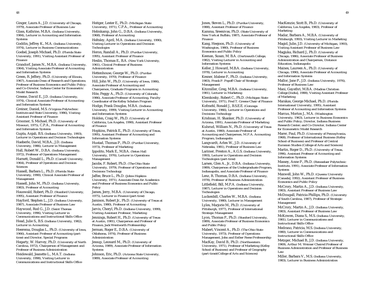Ginger, Laura A., J.D. *(University of Chicago, 1979), Associate Professor of Business Law*

Glass, Kathrine, M.B.A. *(Indiana University, 1984), Lecturer in Accounting and Information Systems*

Goddin, Jeffrey K., M.A. *(Indiana University, 1974), Lecturer in Business Communications*

Goebel, Joseph Michael, Ph.D. *(Florida State University, 1991), Visiting Assistant Professor of Finance* 

Grandorf, James N., M.B.A. *(Indiana University, 1964), Visiting Associate Professor of Accounting and Information Systems*

Green, R. Jeffery, Ph.D. *(University of Illinois, 1967), Associate Dean of Research and Operations; Professor of Business Economics and Public Policy; and Co-Director, Indiana Center for Econometric Model Research*

Greene, David E., J.D. *(Indiana University, 1974), Clinical Associate Professor of Accounting and Information Systems*

Greiner, Daniel, M.S. *(Virginia Polytechnic Institute and State University, 1986), Visiting Assistant Professor of Finance*

Groomer, S. Michael, Ph.D. *(University of Missouri, 1975),* C.P.A., *Professor of Accounting and Information Systems*

Gupta, Anjali, B.S. *(Indiana University, 1993), Lecturer in Operations and Decision Technologies* 

Haeberle, David, M.B.A., J.D. *(Indiana University, 1986), Lecturer in Management* Hall, Robert W., D.B.A. *(Indiana University, 1972), Professor of Operations Management*

Harnett, Donald L., Ph.D. *(Cornell University, 1964), Professor of Operations and Decision Sciences*

Hassell, Barbara L., Ph.D. *(Florida State University, 1990), Clinical Associate Professor of Management*

Hassell, John M., Ph.D. *(Indiana University, 1983), Professor of Accounting*

Hauswald, Robert, Ph.D. *(Stanford University, 1995), Assistant Professor of Finance* Hayford, Stephen L., J.D. *(Indiana University, 1987), Associate Professor of Business Law*

Haywood, Rod G., J.D. *(Saint Thomas University, 1996), Visiting Lecturer in Communications and Instructional Skills Office* Head, Julie S., B.S. *(Indiana University, 1982), Lecturer in Accounting*

Heerema, Douglas L., Ph.D. *(University of Iowa, 1966), Assistant Professor of Accounting (parttime) and Director, Special Programs*

Hegarty, W. Harvey, Ph.D. *(University of North Carolina, 1972), Chairperson of Management and Professor of Business Administration*

Heidewald, Jeanette L., M.A.T. *(Indiana University, 1998), Visiting Lecturer in Communications and Instructional Skills Office* Heitger, Lester E., Ph.D. *(Michigan State University, 1971),* C.P.A., *Professor of Accounting* Helmkamp, John G., D.B.A. *(Indiana University, 1968), Professor of Accounting* Heltsley, April, M.A. *(Indiana University, 1990), Visiting Lecturer in Operations and Decision Technologies*

Heron, Randall A., Ph.D. *(Purdue University, 1995), Assistant Professor of Finance* Heslin, Thomas E., B.A. *(New York University,*

*1961), Clinical Professor of Business Administration*

Hettenhouse, George W., Ph.D. *(Purdue University, 1970), Professor of Finance* Hill, John W., Ph.D. *(University of Iowa, 1986), Associate Professor of Accounting and Chairperson, Graduate Programs in Accounting* Hite, Peggy A., Ph.D. *(University of Colorado, 1986), Associate Professor of Accounting, Faculty Coordinator of the Kelley Scholars Program* Hodge, Frank Douglas, M.B.A. *(Indiana University, 1999), Visiting Lecturer in Accounting and Information Systems*

Holden, Craig W., Ph.D. *(University of California, Los Angeles, 1990), Assistant Professor of Finance*

Hopkins, Patrick E., Ph.D. *(University of Texas, 1995), Assistant Professor of Accounting and Information Systems*

Hustad, Thomas P., Ph.D. *(Purdue University, 1973), Professor of Marketing*

Ippolito, Mark E., M.B.A. *(Seton Hall University, 1976), Lecturer in Operations Management*

Jacobs, F. Robert, Ph.D. *(The Ohio State University, 1979), Professor of Operations and Decisions Technology*

Jaffee, Bruce L., Ph.D. *(Johns Hopkins University, 1971), Associate Dean for Academics and Professor of Business Economics and Public Policy*

James, Jerry, M.B.A. *(University of Chicago, 1975), Lecturer in Finance (part-time)* Jamison, Robert Jr., Ph.D. *(University of Texas at Austin, 1980), Professor of Accounting*

Jarvis, Cheryl, Ph.D. *(Indiana University, 1999), Visiting Assistant Professor, Marketing* Jennings, Robert H., Ph.D. *(University of Texas at Austin, 1981), Chairperson and Professor of Finance, Jack Wentworth Professorship*

Jerman, Roger E., D.B.A. *(University of Oklahoma, 1974), Professor of Business Administration*

Jessup, Leonard M., Ph.D. *(University of Arizona, 1989), Associate Professor of Information Systems*

Johnson, Eric, Ph.D. *(Arizona State University, 1989), Associate Professor of Accounting*

Jones, Steven L., Ph.D. *(Purdue University, 1988), Assistant Professor of Finance*

Kamma, Sreenivas, Ph.D. *(State University of New York at Buffalo, 1987), Associate Professor of Finance*

Kang, Heejoon, Ph.D. *(University of Washington, 1980), Professor of Business Economics and Public Policy*

Keenan, Susan, M. B.A. *(Dartmouth College, 1982), Visiting Lecturer in Accounting and Information Systems*

Keller, J. Howard, M.B.A. *(Indiana University, 1978), Lecturer in Accounting*

Kesner, Idalene F., Ph.D. *(Indiana University, 1983), Frank P. Popoff Chair of Strategic Management*

Kitzmiller, Greg, M.B.A. *(Indiana University, 1981), Lecturer in Marketing*

Klemkosky, Robert C., Ph.D. *(Michigan State University, 1971), Fred T. Greene Chair of Finance* Kofmehl, Ronald J., B.S.E.E. *(Gonzaga University, 1966), Lecturer in Operations and Decisions Technology*

Krishnan, H. Shanker, Ph.D. *(University of Arizona, 1991), Associate Professor of Marketing*

Kulsrud, William N., Ph.D. *(University of Texas at Austin, 1980), Associate Professor of Accounting and Chairperson, M.P.A. Accounting Program, Indianapolis*

Langvardt, Arlen W., J.D. *(University of Nebraska, 1981), Professor of Business Law*

Larimer, Preston A., A.G.S. *(Indiana University, 1993), Lecturer in Operations and Decision Technologies (part-time)*

Larsen, Glen A., Jr., D.B.A. *(Indiana University, 1989), Chairperson of the Undergraduate Program, Indianapolis, and Associate Professor of Finance* 

Lenz, R. Thomas, D.B.A. *(Indiana University, 1978), Professor of Business Administration* Littlefield, Bill, M.P.A. *(Indiana University, 1987), Lecturer in Operations and Decision Technologies* 

Luckenbill, Charles W., M.B.A. *(Indiana University, 1980), Lecturer in Management* Lyles, Marjorie M., Ph.D. *(University of Pittsburgh, 1977), Professor of International Strategic Management*

Lyon, Thomas P., Ph.D. *(Stanford University, 1989), Associate Professor of Business Economics and Public Policy*

Mabert, Vincent A., Ph.D. *(The Ohio State University, 1973), Professor of Operations Management, John and Esther Reese Professorship* MacKay, David B., Ph.D. *(Northwestern University, 1971), Professor of Marketing (Kelley School of Business) and Professor of Geography*

*(part-time)(College of Arts and Sciences)*

MacKenzie, Scott B., Ph.D. *(University of California, Los Angeles, 1983), Professor of Marketing*

Madar, Barbara A., M.B.A. *(University of Pittsburgh, 1993), Visiting Lecturer in Marketing* Magid, Julie, J.D. *(University of Michigan, 1993), Visiting Assistant Professor of Business Law*

Magjuka, Richard J., Ph.D. *(University of Chicago, 1986), Associate Professor of Business Administration and Chairperson, Distance Education, Indianapolis*

Maines, Laureen A., Ph.D. *(University of Chicago, 1990), Associate Professor of Accounting and Information Systems*

Mallor, Jane P., J.D. *(Indiana University, 1976), Professor of Business Law*

Mani, Gayathri, M.B.A. *(Madras Christian College [India], 1988), Visiting Assistant Professor of Marketing*

Marakas, George Michael, Ph.D. *(Florida International University, 1995), Assistant Professor of Accounting and Information Systems*

Marcus, Morton J., M.A. *(Washington University, 1963), Lecturer in Business Economics and Public Policy; Director, Indiana Business Research Center; and Co-Director, Indiana Center for Econometric Model Research*

Marer, Paul, Ph.D. *(University of Pennsylvania, 1968), Professor of International Business (Kelley School of Business) and Professor of Central Eurasian Studies (College of Arts and Sciences)*

Martin, Roger D., Ph.D. *(University of Texas, 1996), Assistant Professor of Accounting and Information Systems*

Massey, Anne P., Ph.D. *(Rensselaer Polytechnic Institute, 1991), Associate Professor of Information Systems*

Maxwell, John W., Ph.D. *(Queens University [Canada], 1992), Assistant Professor of Business Economics and Public Policy*

McCrory, Martin A., J.D. *(Indiana University, 1983), Assistant Professor of Business Law*

McDougall, Patricia Phillips, Ph.D. *(University of South Carolina, 1987), Professor of Strategic Management*

McCrory, Martin A., J.D. *(Indiana University, 1983), Assistant Professor of Business Law*

McKowen, Diana S., M.S. *(Indiana University, 1981), Lecturer in Communications and Instructional Skills Office*

Medrano, Patricia, M.S. (*Indiana University, 1980), Lecturer in Communications and Instructional Skills Office* 

Metzger, Michael B., J.D. *(Indiana University, 1969), Arthur M. Weimer Chaired Professor of Business Administration and Professor of Business Law*

Miller, Barbara V., M.S. *(Indiana University, 1983), Lecturer in Business Administration*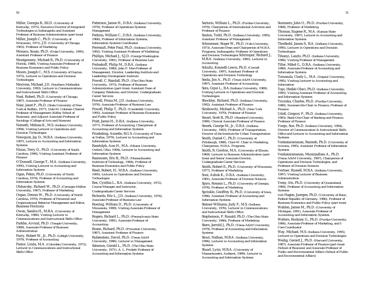Miller, Georgia B., Ed.D. *(University of Kentucky, 1975), Executive Director of Integrated Technologies in Indianapolis and Assistant Professor of Business Administration (part-time)*

Miller, Joseph C., Ph.D. *(University of Wisconsin, 1971),* J.D. *(University of Chicago, 1963), Professor of Marketing*

Monaco, Susan, Ph.D. *(Duke University, 1995), Assistant Professor of Finance*

Montgomery, Michael R., Ph.D. *(University of Florida, 1988), Visiting Associate Professor of Business Economics and Public Policy*

Moore, Joseph C., M.S. *(University of Dayton, 1975), Lecturer in Operations and Decision Technologies*

Morrone, Michael, J.D. *(Southern Methodist University, 1993), Lecturer in Communications and Instructional Skills Office* 

Neal, Robert, Ph.D. *(University of Chicago, 1987), Associate Professor of Finance*

Near, Janet P., Ph.D. *(State University of New York at Buffalo, 1977), Dale M. Coleman Chaired Professor of Management (Kelley School of Business), and Adjunct Associate Professor of Sociology (College of Arts and Sciences)*

Nemeth, Melissa K., M.S. *(Indiana University, 1994), Visiting Lecturer in Operations and Decision Technologies*

Newquist, Jay D., M.B.A. *(Indiana University, 1997), Lecturer in Accounting and Information Systems*

Nixon, Terry D., Ph.D*. (University of South Carolina, 1996), Visiting Assistant Professor of Finance*

O'Donnell, George T., M.A. *(Indiana University, 1995), Visiting Lecturer in Accounting and Information Systems*

Ogan, Pekin, Ph.D. *(University of North Carolina, 1974), Professor of Accounting and Information Systems*

Olshavsky, Richard W., Ph.D. *(Carnegie-Mellon University, 1967), Professor of Marketing*

Organ, Dennis W., Ph.D. *(University of North Carolina, 1970), Professor of Personnel and Organizational Behavior Management and Editor,* Business Horizons

Owen, Sandra H., M.B.A. *(University of Kentucky, 1986), Visiting Lecturer in Communications and Instructional Skills Office*  Parkhe, Arvind, Ph.D. *(Temple University, 1989), Associate Professor of Business Administration*

Parry, Robert W., Jr., Ph.D. *(Lehigh University, 1979), Professor of Accounting*

Pastor, Linda, M.A. *(Columbia University, 1972), Lecturer in Communications and Instructional Skills Office* 

Patterson, James H., D.B.A. *(Indiana University, 1970), Professor of Operations Systems Management* 

Perkins, William C., D.B.A. *(Indiana University, 1966), Professor of Information Systems, Information Systems Coordinator*  Perreault, Peter Paul, Ph.D. *(Indiana University,*

*1992), Visiting Assistant Professor of Marketing* Phillips, Michael J., S.J.D. *(George Washington University, 1981), Professor of Business Law*

Podsakoff, Philip M., D.B.A. *(Indiana University, 1980), John F. Mee Professor of Management, Director, Leadership Institute and Leadership Development Institute*

Powell, C. Randall, Ph.D. *(The Ohio State University, 1973), Professor of Business Administration (part-time); Assistant Dean of Company Relations; and Director, Undergraduate Career Services*

Powell, Frona M., J.D. *(Indiana University, 1976), Associate Professor of Business Law* Powell, Philip T., Ph.D. *(Vanderbilt University, 1995), Assistant Professor of Business Economics and Public Policy*

Pratt, Jamie H., D.B.A. *(Indiana University, 1977), Professor of Accounting, Chairperson of Accounting and Information Systems* Proebsting, Annette, B.G.S. *(University of Texas at Dallas, 1979), Lecturer in Accounting and Information Systems*

Randolph, Ann H., M.A. *(Miami University, Oxford, Ohio, 1994), Lecturer in Accounting and Information Systems*

Rasmusen, Eric B., Ph.D. *(Massachusetts Institute of Technology, 1984), Professor of Business Economics and Public Policy*

Reed, Robert, H., M.B.A. *(Indiana University, 1995), Lecturer in Operations and Decision Technologies*

Rex, Cynthia L., B.A. *(Indiana University, 1972), Course Manager and Instructor,* 

*Undergraduate Career Services*

Richards, Eric L., J.D. *(Indiana University, 1976), Associate Professor of Business Law* Roering, William D., Ph.D. *(University of Minnesota, 1989), Visiting Associate Professor of*

*Management* Rogers, Richard L., Ph.D. *(Pennsylvania State*

*University, 1981), Associate Professor of Accounting*

Rosen, Richard, Ph.D. *(Princeton University, 1987), Assistant Professor of Finance*

Rubenstein, David, Ph.D. *(Texas A&M University, 1986), Lecturer in Management* Salamon, Gerald L., Ph.D. *(The Ohio State University, 1971), A. L. Prickett Professor of Accounting and Information Systems*

Sartoris, William L., Ph.D. *(Purdue University, 1970), Chairperson of International Activities and Professor of Finance*

Saxton, Todd, Ph.D. *(Indiana University, 1995), Assistant Professor of Management*

Schmenner, Roger W., Ph.D. *(Yale University, 1973), Associate Dean and Chairperson of M.B.A. Programs, Indianapolis; Professor of Operations and Decision Technologies* Schrimper, Richard J., M.B.A. *(Indiana University, 1985), Lecturer in Accounting*

Schultz, Kenneth Lewis, Ph.D. *(Cornell University, 1997), Assistant Professor of Operations and Decision Technology* Seida, Jim A., Ph.D. *(Texas A&M University,*

*1997), Assistant Professor of Accounting* Sera, Gipsi L., B.A*.(Indiana University, 1989), Visiting Lecturer in Operations and Decision*

*Technologies* Shockley, Richard, Ph.D. *(Indiana University,*

*1992), Assistant Professor of Finance* Simkowitz, Michael A., Ph.D. *(New York University, 1970), Professor of Finance*

Smart, Scott B., Ph.D. *(Stanford University, 1990), Clinical Associate Professor of Finance*

Smerk, George M., Jr., D.B.A. *(Indiana University, 1963), Professor of Transportation, Director of the Institute for Urban Transportation*

Smith, Daniel C., Ph.D. *(University of Pittsburgh, 1988), Clare W. Chair in Marketing, Chairperson, M.B.A. Programs*

Smith, R. Gordon, M.A. *(University of Illinois, 1969), Lecturer in Business Administration (parttime) and Senior Associate Director, Undergraduate Career Services* 

Smith, Robert E., Ph.D. *(University of Wisconsin, 1977), Professor of Marketing*

Soni, Ashok K., D.B.A. *(Indiana University, 1981), Associate Professor of Decision Sciences*

Spiro, Rosann L., Ph.D. *(University of Georgia, 1976), Professor of Marketing*

Sprinkle, Geoffrey B., Ph.D. *(University of Iowa, 1996), Assistant Professor of Accounting and Information Systems*

Steiner-Williams, Judy F., M.S. *(Indiana University, 1976), Lecturer in Communications and Instructional Skills Office* 

Stephenson, P. Ronald, Ph.D. *(The Ohio State University, 1966), Professor of Marketing* Stern, Jerrold J., Ph.D. *(Texas A&M University, 1979), Professor of Accounting and Information Systems*

Stout, Nathan, M.B.A. *(Indiana University, 1996), Lecturer in Accounting and Information Systems*

Stuart, Lynn, M.B.A. *(University of Massachusetts, Amherst, 1989), Lecturer in Accounting and Information Systems*

Summers, John O., Ph.D. *(Purdue University, 1968), Professor of Marketing*

Thomas, Eugene R., M.A. *(Kansas State University, 1987), Lecturer in Accounting and Information Systems*

Threlkeld, James S., B.A. *(Indiana University, 1995), Lecturer in Operations and Decision Technologies* 

Tihanyi, Laszlo, Ph.D*. (Indiana University, 1996), Visiting Professor of Management* Tiller, Mikel G., D.B.A. *(Indiana University, 1980), Associate Professor of Accounting and Information Systems*

Tomasula, Cindy L., M.A. *(Depaul University, 1995), Visiting Lecturer in Accounting and Information* 

Topi, Heikki Olavi, Ph.D. *(Indiana University, 1995), Visiting Assistant Professor of Accounting and Information Systems*

Trzcinka, Charles, Ph.D. *(Purdue University, 1980), Summerville Chair in Finance, Professor of Finance*

Udell, Gregory F., Ph.D. *(Indiana University, 1983), Bank One Chair of Banking and Finance, Professor of Finance*

Vargo, Sue, Ph.D. *(Indiana University, 1994), Director of Communication & Instructional Skills Office and Lecturer in Accounting and Information Systems*

Venkataramanan, Ramesh, Ph.D. *(University of Arizona, 1995), Assistant Professor of Information Systems*

Venkataramanan, Munirpallam A., Ph.D. *(Texas A&M University, 1987), Chairperson of Operations and Decision Technologies, and Professor of Decision Sciences*

Vertner, Russell, M.B.A. *(Indiana University, 1997), Visiting Lecturer of Business Administration*

Vessy, Iris, Ph.D. *(University of Queensland, 1984), Professor of Accounting and Information Systems*

von Hagen, Juergen, Ph.D. *(University of Bonn, Federal Republic of Germany, 1986), Professor of Business Economics and Public Policy (part-time)*

Wahlen, James M., Ph.D. *(University of Michigan, 1991), Associate Professor of Accounting and Information Systems*

Walters, Rockney G., Ph.D. *(Purdue University, 1984), Associate Professor of Marketing, and I-Core Coordinator*

Way, Michael, M.S. *(Indiana University, 1995), Lecturer in Operations and Decision Technologies* Wedig, Gerard J., Ph.D. *(Harvard University, 1987), Associate Professor of Finance (part-time) (School of Business) and Associate Professor of Public and Environmental Affairs (School of Public and Environmental Affairs)*